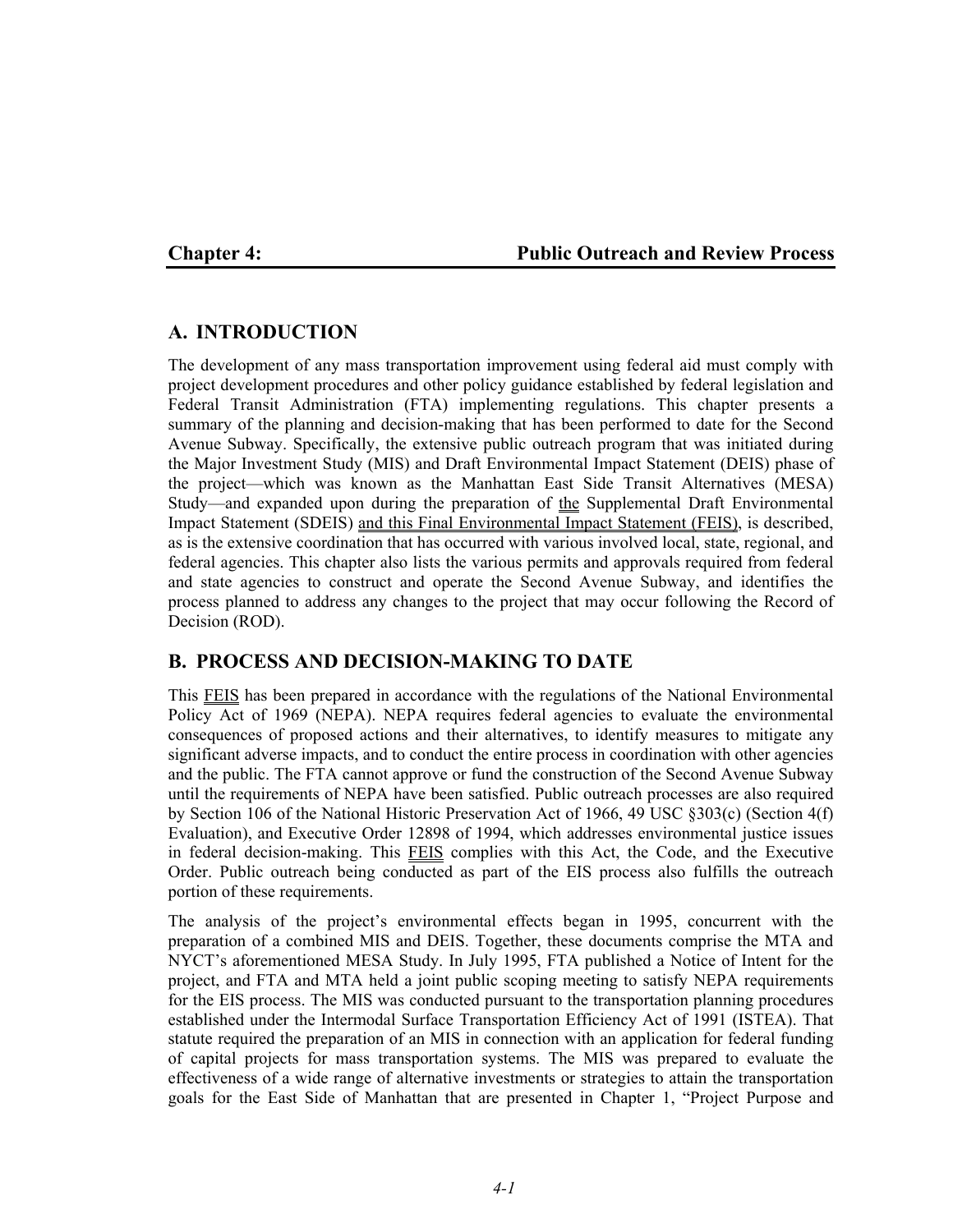## **Chapter 4: Public Outreach and Review Process**

# **A. INTRODUCTION**

The development of any mass transportation improvement using federal aid must comply with project development procedures and other policy guidance established by federal legislation and Federal Transit Administration (FTA) implementing regulations. This chapter presents a summary of the planning and decision-making that has been performed to date for the Second Avenue Subway. Specifically, the extensive public outreach program that was initiated during the Major Investment Study (MIS) and Draft Environmental Impact Statement (DEIS) phase of the project—which was known as the Manhattan East Side Transit Alternatives (MESA) Study—and expanded upon during the preparation of the Supplemental Draft Environmental Impact Statement (SDEIS) and this Final Environmental Impact Statement (FEIS), is described, as is the extensive coordination that has occurred with various involved local, state, regional, and federal agencies. This chapter also lists the various permits and approvals required from federal and state agencies to construct and operate the Second Avenue Subway, and identifies the process planned to address any changes to the project that may occur following the Record of Decision (ROD).

# **B. PROCESS AND DECISION-MAKING TO DATE**

This FEIS has been prepared in accordance with the regulations of the National Environmental Policy Act of 1969 (NEPA). NEPA requires federal agencies to evaluate the environmental consequences of proposed actions and their alternatives, to identify measures to mitigate any significant adverse impacts, and to conduct the entire process in coordination with other agencies and the public. The FTA cannot approve or fund the construction of the Second Avenue Subway until the requirements of NEPA have been satisfied. Public outreach processes are also required by Section 106 of the National Historic Preservation Act of 1966, 49 USC §303(c) (Section 4(f) Evaluation), and Executive Order 12898 of 1994, which addresses environmental justice issues in federal decision-making. This FEIS complies with this Act, the Code, and the Executive Order. Public outreach being conducted as part of the EIS process also fulfills the outreach portion of these requirements.

The analysis of the project's environmental effects began in 1995, concurrent with the preparation of a combined MIS and DEIS. Together, these documents comprise the MTA and NYCT's aforementioned MESA Study. In July 1995, FTA published a Notice of Intent for the project, and FTA and MTA held a joint public scoping meeting to satisfy NEPA requirements for the EIS process. The MIS was conducted pursuant to the transportation planning procedures established under the Intermodal Surface Transportation Efficiency Act of 1991 (ISTEA). That statute required the preparation of an MIS in connection with an application for federal funding of capital projects for mass transportation systems. The MIS was prepared to evaluate the effectiveness of a wide range of alternative investments or strategies to attain the transportation goals for the East Side of Manhattan that are presented in Chapter 1, "Project Purpose and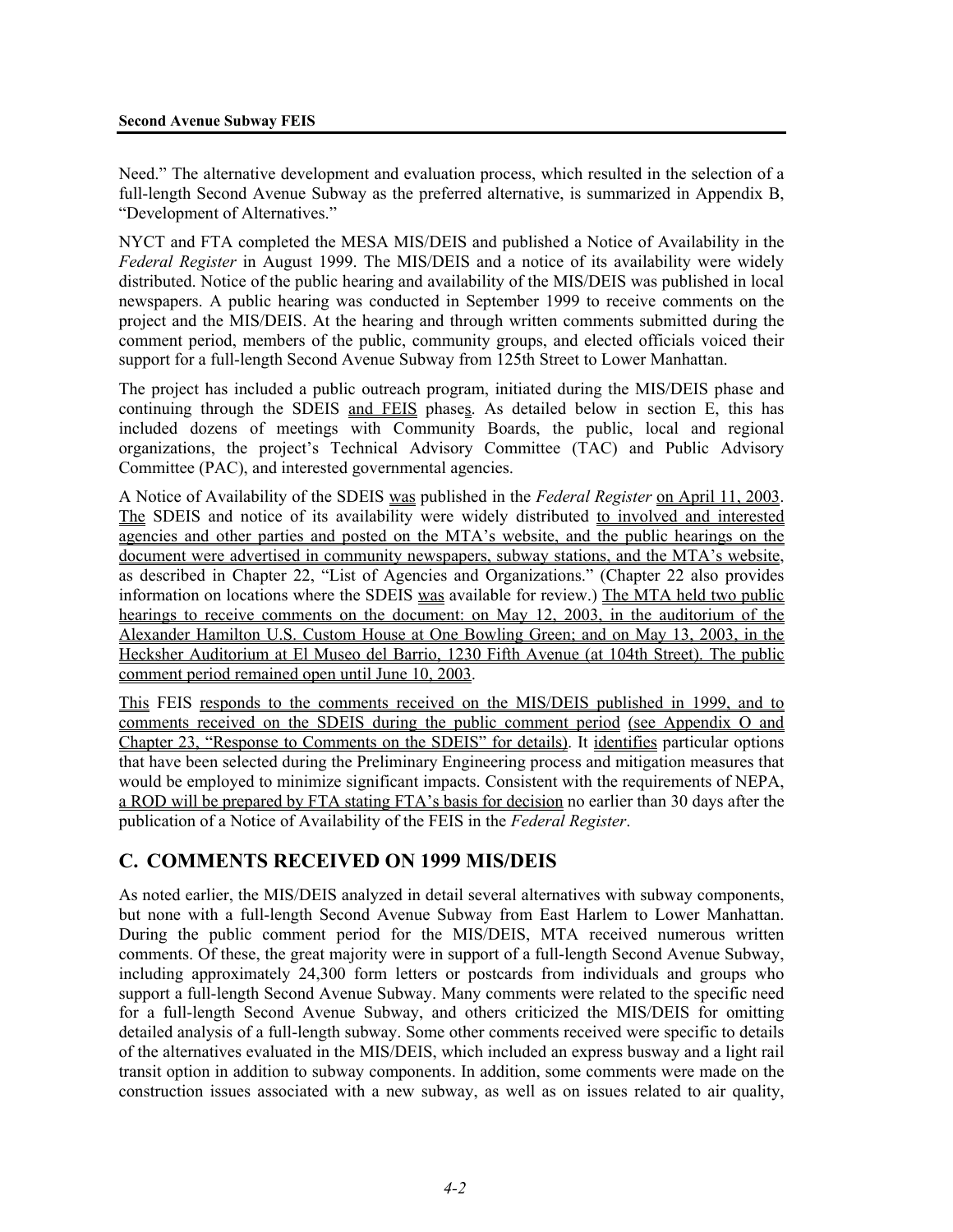Need." The alternative development and evaluation process, which resulted in the selection of a full-length Second Avenue Subway as the preferred alternative, is summarized in Appendix B, "Development of Alternatives."

NYCT and FTA completed the MESA MIS/DEIS and published a Notice of Availability in the *Federal Register* in August 1999. The MIS/DEIS and a notice of its availability were widely distributed. Notice of the public hearing and availability of the MIS/DEIS was published in local newspapers. A public hearing was conducted in September 1999 to receive comments on the project and the MIS/DEIS. At the hearing and through written comments submitted during the comment period, members of the public, community groups, and elected officials voiced their support for a full-length Second Avenue Subway from 125th Street to Lower Manhattan.

The project has included a public outreach program, initiated during the MIS/DEIS phase and continuing through the SDEIS and FEIS phases. As detailed below in section E, this has included dozens of meetings with Community Boards, the public, local and regional organizations, the project's Technical Advisory Committee (TAC) and Public Advisory Committee (PAC), and interested governmental agencies.

A Notice of Availability of the SDEIS was published in the *Federal Register* on April 11, 2003. The SDEIS and notice of its availability were widely distributed to involved and interested agencies and other parties and posted on the MTA's website, and the public hearings on the document were advertised in community newspapers, subway stations, and the MTA's website, as described in Chapter 22, "List of Agencies and Organizations." (Chapter 22 also provides information on locations where the SDEIS was available for review.) The MTA held two public hearings to receive comments on the document: on May 12, 2003, in the auditorium of the Alexander Hamilton U.S. Custom House at One Bowling Green; and on May 13, 2003, in the Hecksher Auditorium at El Museo del Barrio, 1230 Fifth Avenue (at 104th Street). The public comment period remained open until June 10, 2003.

This FEIS responds to the comments received on the MIS/DEIS published in 1999, and to comments received on the SDEIS during the public comment period (see Appendix O and Chapter 23, "Response to Comments on the SDEIS" for details). It identifies particular options that have been selected during the Preliminary Engineering process and mitigation measures that would be employed to minimize significant impacts. Consistent with the requirements of NEPA, a ROD will be prepared by FTA stating FTA's basis for decision no earlier than 30 days after the publication of a Notice of Availability of the FEIS in the *Federal Register*.

## **C. COMMENTS RECEIVED ON 1999 MIS/DEIS**

As noted earlier, the MIS/DEIS analyzed in detail several alternatives with subway components, but none with a full-length Second Avenue Subway from East Harlem to Lower Manhattan. During the public comment period for the MIS/DEIS, MTA received numerous written comments. Of these, the great majority were in support of a full-length Second Avenue Subway, including approximately 24,300 form letters or postcards from individuals and groups who support a full-length Second Avenue Subway. Many comments were related to the specific need for a full-length Second Avenue Subway, and others criticized the MIS/DEIS for omitting detailed analysis of a full-length subway. Some other comments received were specific to details of the alternatives evaluated in the MIS/DEIS, which included an express busway and a light rail transit option in addition to subway components. In addition, some comments were made on the construction issues associated with a new subway, as well as on issues related to air quality,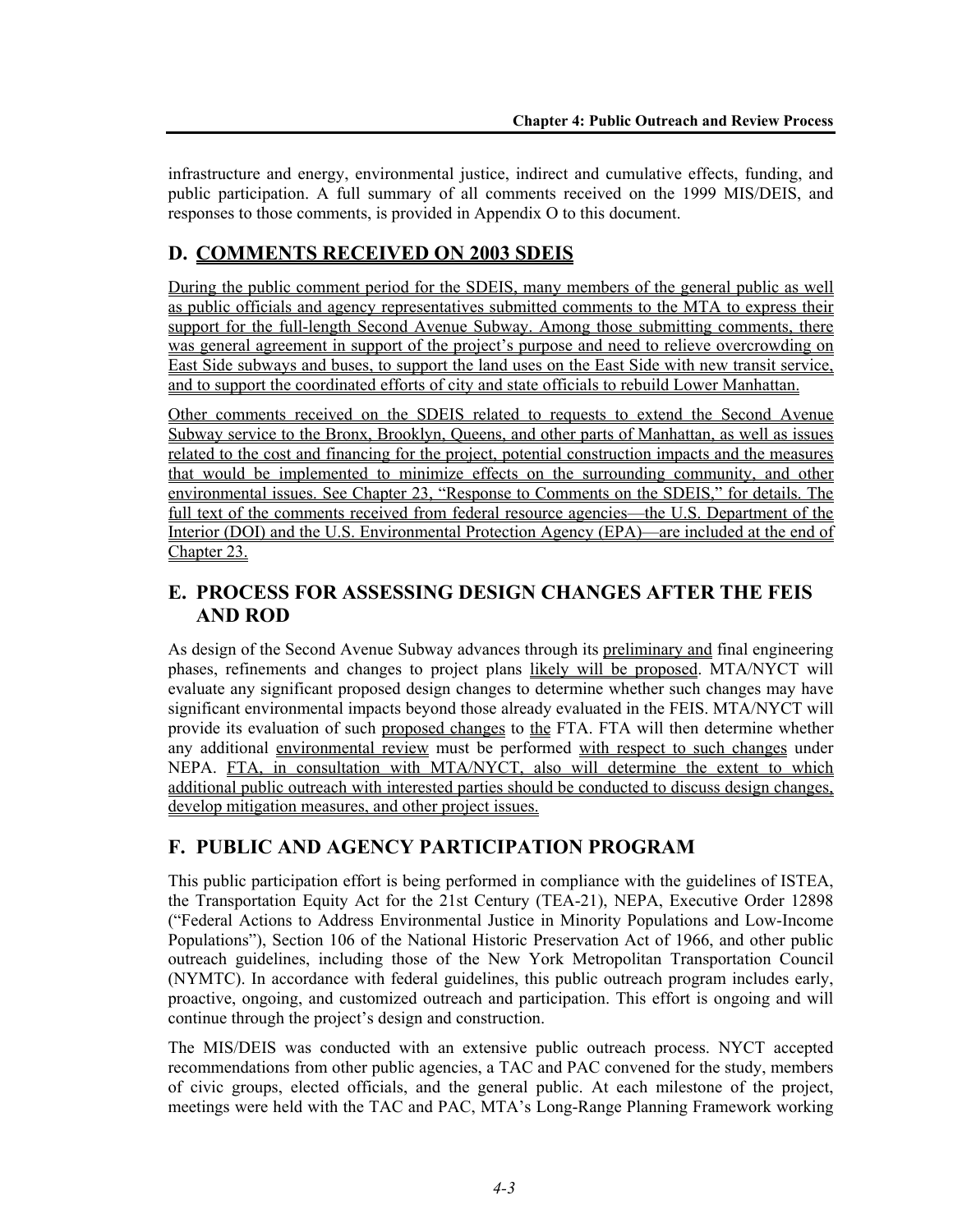infrastructure and energy, environmental justice, indirect and cumulative effects, funding, and public participation. A full summary of all comments received on the 1999 MIS/DEIS, and responses to those comments, is provided in Appendix O to this document.

# **D. COMMENTS RECEIVED ON 2003 SDEIS**

During the public comment period for the SDEIS, many members of the general public as well as public officials and agency representatives submitted comments to the MTA to express their support for the full-length Second Avenue Subway. Among those submitting comments, there was general agreement in support of the project's purpose and need to relieve overcrowding on East Side subways and buses, to support the land uses on the East Side with new transit service, and to support the coordinated efforts of city and state officials to rebuild Lower Manhattan.

Other comments received on the SDEIS related to requests to extend the Second Avenue Subway service to the Bronx, Brooklyn, Queens, and other parts of Manhattan, as well as issues related to the cost and financing for the project, potential construction impacts and the measures that would be implemented to minimize effects on the surrounding community, and other environmental issues. See Chapter 23, "Response to Comments on the SDEIS," for details. The full text of the comments received from federal resource agencies—the U.S. Department of the Interior (DOI) and the U.S. Environmental Protection Agency (EPA)—are included at the end of Chapter 23.

# **E. PROCESS FOR ASSESSING DESIGN CHANGES AFTER THE FEIS AND ROD**

As design of the Second Avenue Subway advances through its preliminary and final engineering phases, refinements and changes to project plans likely will be proposed. MTA/NYCT will evaluate any significant proposed design changes to determine whether such changes may have significant environmental impacts beyond those already evaluated in the FEIS. MTA/NYCT will provide its evaluation of such proposed changes to the FTA. FTA will then determine whether any additional environmental review must be performed with respect to such changes under NEPA. FTA, in consultation with MTA/NYCT, also will determine the extent to which additional public outreach with interested parties should be conducted to discuss design changes, develop mitigation measures, and other project issues.

# **F. PUBLIC AND AGENCY PARTICIPATION PROGRAM**

This public participation effort is being performed in compliance with the guidelines of ISTEA, the Transportation Equity Act for the 21st Century (TEA-21), NEPA, Executive Order 12898 ("Federal Actions to Address Environmental Justice in Minority Populations and Low-Income Populations"), Section 106 of the National Historic Preservation Act of 1966, and other public outreach guidelines, including those of the New York Metropolitan Transportation Council (NYMTC). In accordance with federal guidelines, this public outreach program includes early, proactive, ongoing, and customized outreach and participation. This effort is ongoing and will continue through the project's design and construction.

The MIS/DEIS was conducted with an extensive public outreach process. NYCT accepted recommendations from other public agencies, a TAC and PAC convened for the study, members of civic groups, elected officials, and the general public. At each milestone of the project, meetings were held with the TAC and PAC, MTA's Long-Range Planning Framework working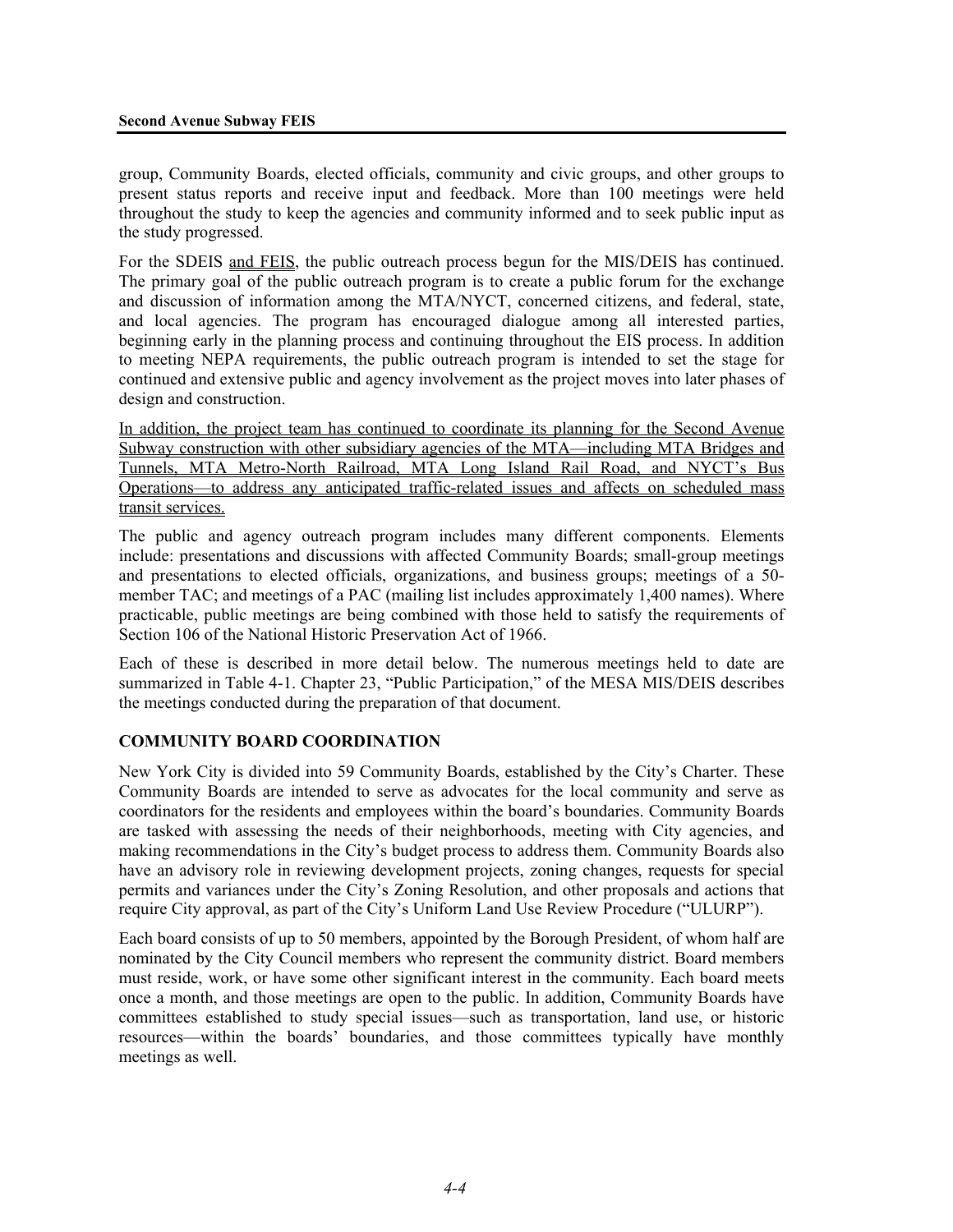group, Community Boards, elected officials, community and civic groups, and other groups to present status reports and receive input and feedback. More than 100 meetings were held throughout the study to keep the agencies and community informed and to seek public input as the study progressed.

For the SDEIS and FEIS, the public outreach process begun for the MIS/DEIS has continued. The primary goal of the public outreach program is to create a public forum for the exchange and discussion of information among the MTA/NYCT, concerned citizens, and federal, state, and local agencies. The program has encouraged dialogue among all interested parties, beginning early in the planning process and continuing throughout the EIS process. In addition to meeting NEPA requirements, the public outreach program is intended to set the stage for continued and extensive public and agency involvement as the project moves into later phases of design and construction.

In addition, the project team has continued to coordinate its planning for the Second Avenue Subway construction with other subsidiary agencies of the MTA—including MTA Bridges and Tunnels, MTA Metro-North Railroad, MTA Long Island Rail Road, and NYCT's Bus Operations—to address any anticipated traffic-related issues and affects on scheduled mass transit services.

The public and agency outreach program includes many different components. Elements include: presentations and discussions with affected Community Boards; small-group meetings and presentations to elected officials, organizations, and business groups; meetings of a 50 member TAC; and meetings of a PAC (mailing list includes approximately 1,400 names). Where practicable, public meetings are being combined with those held to satisfy the requirements of Section 106 of the National Historic Preservation Act of 1966.

Each of these is described in more detail below. The numerous meetings held to date are summarized in Table 4-1. Chapter 23, "Public Participation," of the MESA MIS/DEIS describes the meetings conducted during the preparation of that document.

## **COMMUNITY BOARD COORDINATION**

New York City is divided into 59 Community Boards, established by the City's Charter. These Community Boards are intended to serve as advocates for the local community and serve as coordinators for the residents and employees within the board's boundaries. Community Boards are tasked with assessing the needs of their neighborhoods, meeting with City agencies, and making recommendations in the City's budget process to address them. Community Boards also have an advisory role in reviewing development projects, zoning changes, requests for special permits and variances under the City's Zoning Resolution, and other proposals and actions that require City approval, as part of the City's Uniform Land Use Review Procedure ("ULURP").

Each board consists of up to 50 members, appointed by the Borough President, of whom half are nominated by the City Council members who represent the community district. Board members must reside, work, or have some other significant interest in the community. Each board meets once a month, and those meetings are open to the public. In addition, Community Boards have committees established to study special issues—such as transportation, land use, or historic resources—within the boards' boundaries, and those committees typically have monthly meetings as well.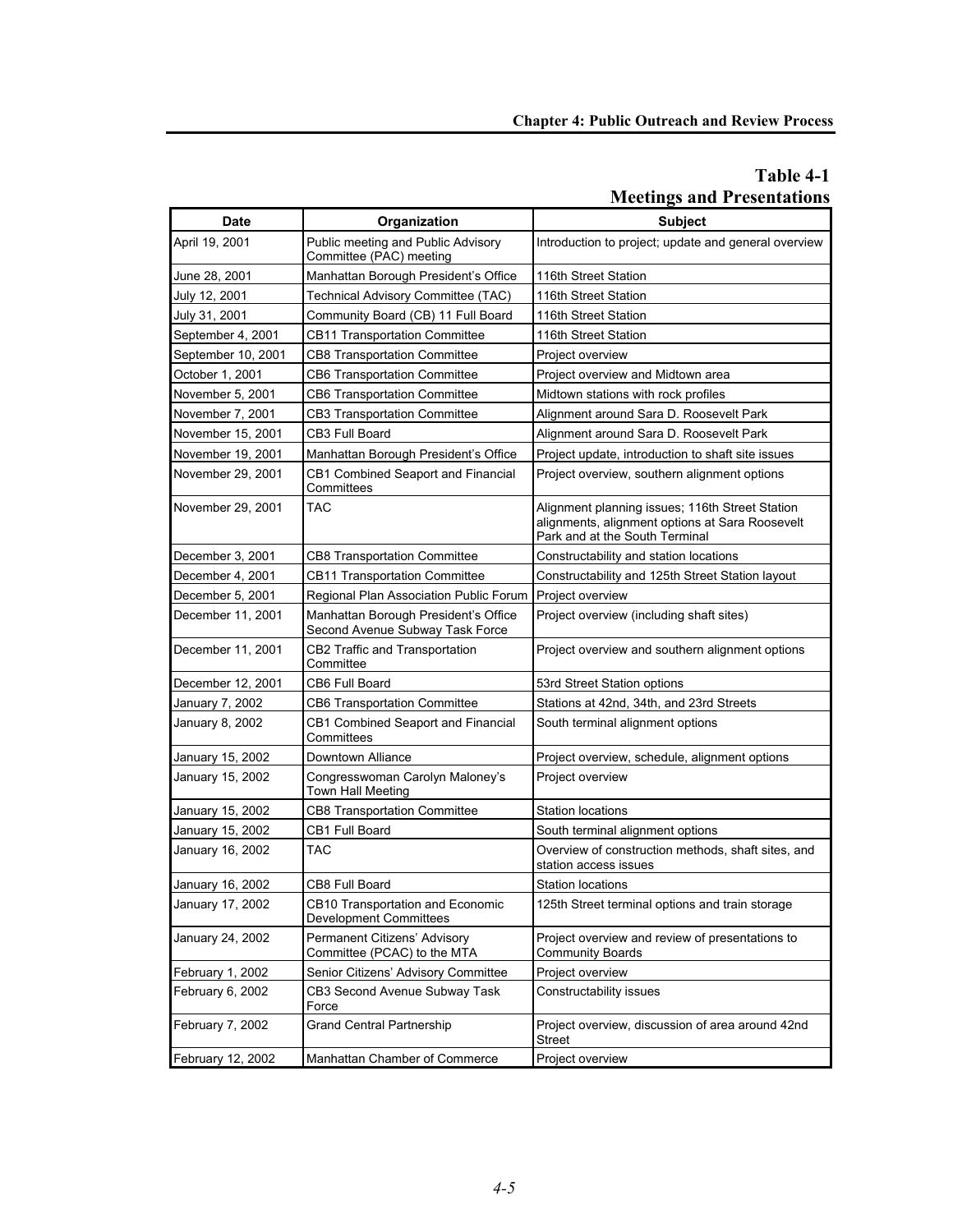# **Table 4-1 Meetings and Presentations**

| <b>Date</b>        | Organization                                                            | <b>Subject</b>                                                                                                                       |
|--------------------|-------------------------------------------------------------------------|--------------------------------------------------------------------------------------------------------------------------------------|
| April 19, 2001     | Public meeting and Public Advisory<br>Committee (PAC) meeting           | Introduction to project; update and general overview                                                                                 |
| June 28, 2001      | Manhattan Borough President's Office                                    | 116th Street Station                                                                                                                 |
| July 12, 2001      | Technical Advisory Committee (TAC)                                      | 116th Street Station                                                                                                                 |
| July 31, 2001      | Community Board (CB) 11 Full Board                                      | 116th Street Station                                                                                                                 |
| September 4, 2001  | CB11 Transportation Committee                                           | 116th Street Station                                                                                                                 |
| September 10, 2001 | CB8 Transportation Committee                                            | Project overview                                                                                                                     |
| October 1, 2001    | CB6 Transportation Committee                                            | Project overview and Midtown area                                                                                                    |
| November 5, 2001   | <b>CB6 Transportation Committee</b>                                     | Midtown stations with rock profiles                                                                                                  |
| November 7, 2001   | CB3 Transportation Committee                                            | Alignment around Sara D. Roosevelt Park                                                                                              |
| November 15, 2001  | CB3 Full Board                                                          | Alignment around Sara D. Roosevelt Park                                                                                              |
| November 19, 2001  | Manhattan Borough President's Office                                    | Project update, introduction to shaft site issues                                                                                    |
| November 29, 2001  | CB1 Combined Seaport and Financial<br>Committees                        | Project overview, southern alignment options                                                                                         |
| November 29, 2001  | TAC                                                                     | Alignment planning issues; 116th Street Station<br>alignments, alignment options at Sara Roosevelt<br>Park and at the South Terminal |
| December 3, 2001   | <b>CB8 Transportation Committee</b>                                     | Constructability and station locations                                                                                               |
| December 4, 2001   | <b>CB11 Transportation Committee</b>                                    | Constructability and 125th Street Station layout                                                                                     |
| December 5, 2001   | Regional Plan Association Public Forum                                  | Project overview                                                                                                                     |
| December 11, 2001  | Manhattan Borough President's Office<br>Second Avenue Subway Task Force | Project overview (including shaft sites)                                                                                             |
| December 11, 2001  | CB2 Traffic and Transportation<br>Committee                             | Project overview and southern alignment options                                                                                      |
| December 12, 2001  | CB6 Full Board                                                          | 53rd Street Station options                                                                                                          |
| January 7, 2002    | CB6 Transportation Committee                                            | Stations at 42nd, 34th, and 23rd Streets                                                                                             |
| January 8, 2002    | CB1 Combined Seaport and Financial<br>Committees                        | South terminal alignment options                                                                                                     |
| January 15, 2002   | Downtown Alliance                                                       | Project overview, schedule, alignment options                                                                                        |
| January 15, 2002   | Congresswoman Carolyn Maloney's<br>Town Hall Meeting                    | Project overview                                                                                                                     |
| January 15, 2002   | CB8 Transportation Committee                                            | <b>Station locations</b>                                                                                                             |
| January 15, 2002   | <b>CB1 Full Board</b>                                                   | South terminal alignment options                                                                                                     |
| January 16, 2002   | TAC                                                                     | Overview of construction methods, shaft sites, and<br>station access issues                                                          |
| January 16, 2002   | CB8 Full Board                                                          | <b>Station locations</b>                                                                                                             |
| January 17, 2002   | CB10 Transportation and Economic<br><b>Development Committees</b>       | 125th Street terminal options and train storage                                                                                      |
| January 24, 2002   | Permanent Citizens' Advisory<br>Committee (PCAC) to the MTA             | Project overview and review of presentations to<br><b>Community Boards</b>                                                           |
| February 1, 2002   | Senior Citizens' Advisory Committee                                     | Project overview                                                                                                                     |
| February 6, 2002   | CB3 Second Avenue Subway Task<br>Force                                  | Constructability issues                                                                                                              |
| February 7, 2002   | <b>Grand Central Partnership</b>                                        | Project overview, discussion of area around 42nd<br>Street                                                                           |
| February 12, 2002  | Manhattan Chamber of Commerce                                           | Project overview                                                                                                                     |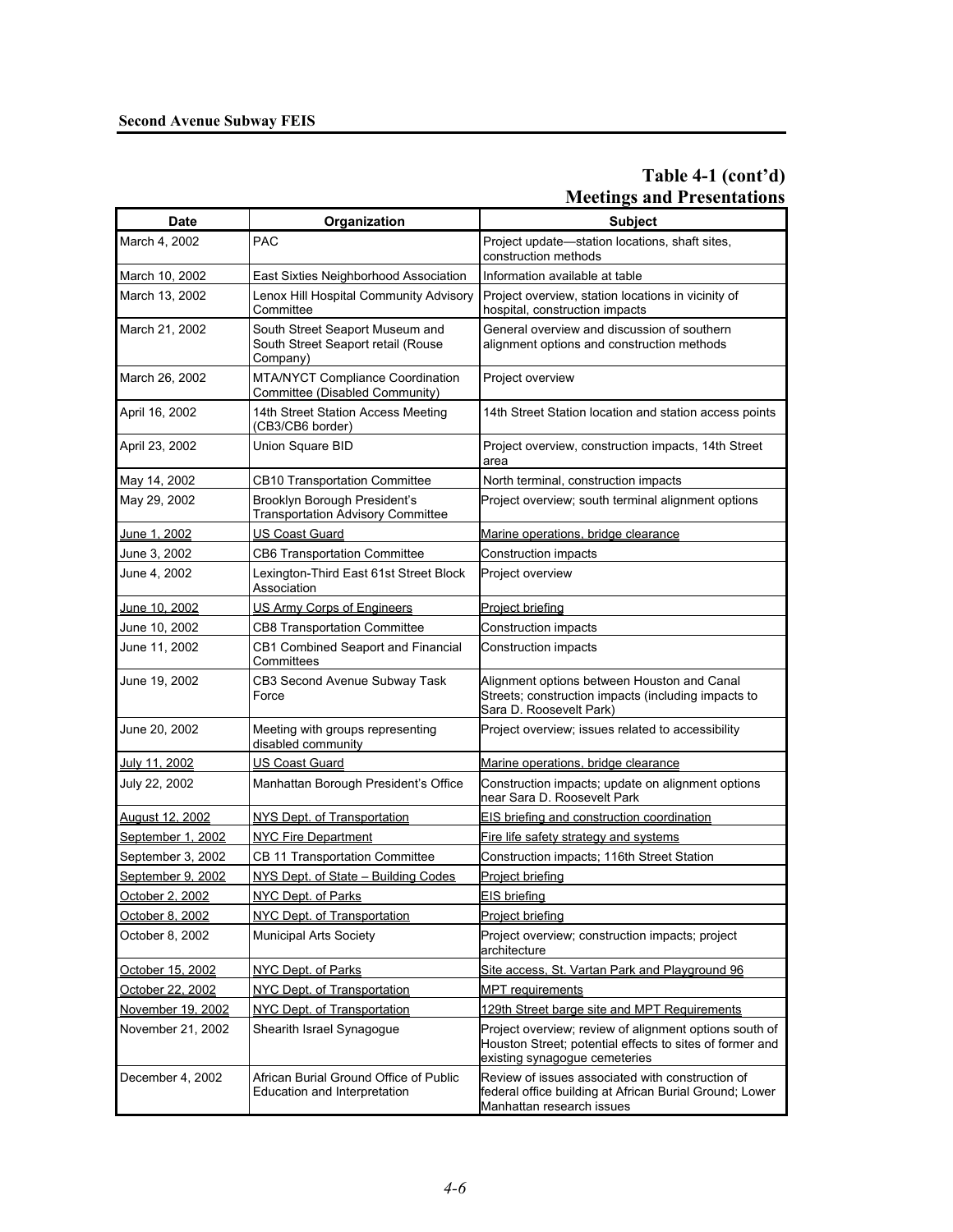## **Table 4-1 (cont'd) Meetings and Presentations**

| <b>Date</b>       | Organization                                                                      | <b>Subject</b>                                                                                                                                      |
|-------------------|-----------------------------------------------------------------------------------|-----------------------------------------------------------------------------------------------------------------------------------------------------|
| March 4, 2002     | <b>PAC</b>                                                                        | Project update-station locations, shaft sites,<br>construction methods                                                                              |
| March 10, 2002    | East Sixties Neighborhood Association                                             | Information available at table                                                                                                                      |
| March 13, 2002    | Lenox Hill Hospital Community Advisory<br>Committee                               | Project overview, station locations in vicinity of<br>hospital, construction impacts                                                                |
| March 21, 2002    | South Street Seaport Museum and<br>South Street Seaport retail (Rouse<br>Company) | General overview and discussion of southern<br>alignment options and construction methods                                                           |
| March 26, 2002    | <b>MTA/NYCT Compliance Coordination</b><br>Committee (Disabled Community)         | Project overview                                                                                                                                    |
| April 16, 2002    | 14th Street Station Access Meeting<br>(CB3/CB6 border)                            | 14th Street Station location and station access points                                                                                              |
| April 23, 2002    | Union Square BID                                                                  | Project overview, construction impacts, 14th Street<br>area                                                                                         |
| May 14, 2002      | CB10 Transportation Committee                                                     | North terminal, construction impacts                                                                                                                |
| May 29, 2002      | Brooklyn Borough President's<br><b>Transportation Advisory Committee</b>          | Project overview; south terminal alignment options                                                                                                  |
| June 1, 2002      | <u>US Coast Guard</u>                                                             | <u>Marine operations, bridge clearance</u>                                                                                                          |
| June 3, 2002      | CB6 Transportation Committee                                                      | Construction impacts                                                                                                                                |
| June 4, 2002      | Lexington-Third East 61st Street Block<br>Association                             | Project overview                                                                                                                                    |
| June 10, 2002     | US Army Corps of Engineers                                                        | Project briefing                                                                                                                                    |
| June 10, 2002     | <b>CB8 Transportation Committee</b>                                               | Construction impacts                                                                                                                                |
| June 11, 2002     | CB1 Combined Seaport and Financial<br>Committees                                  | Construction impacts                                                                                                                                |
| June 19, 2002     | CB3 Second Avenue Subway Task<br>Force                                            | Alignment options between Houston and Canal<br>Streets; construction impacts (including impacts to<br>Sara D. Roosevelt Park)                       |
| June 20, 2002     | Meeting with groups representing<br>disabled community                            | Project overview; issues related to accessibility                                                                                                   |
| July 11, 2002     | US Coast Guard                                                                    | Marine operations, bridge clearance                                                                                                                 |
| July 22, 2002     | Manhattan Borough President's Office                                              | Construction impacts; update on alignment options<br>near Sara D. Roosevelt Park                                                                    |
| August 12, 2002   | NYS Dept. of Transportation                                                       | EIS briefing and construction coordination                                                                                                          |
| September 1, 2002 | <b>NYC Fire Department</b>                                                        | Fire life safety strategy and systems                                                                                                               |
| September 3, 2002 | CB 11 Transportation Committee                                                    | Construction impacts; 116th Street Station                                                                                                          |
| September 9, 2002 | NYS Dept. of State - Building Codes                                               | <u>Project briefing</u>                                                                                                                             |
| October 2, 2002   | NYC Dept. of Parks                                                                | <b>EIS</b> briefing                                                                                                                                 |
| October 8, 2002   | NYC Dept. of Transportation                                                       | Project briefing                                                                                                                                    |
| October 8, 2002   | <b>Municipal Arts Society</b>                                                     | Project overview; construction impacts; project<br>architecture                                                                                     |
| October 15, 2002  | NYC Dept. of Parks                                                                | Site access, St. Vartan Park and Playground 96                                                                                                      |
| October 22, 2002  | NYC Dept. of Transportation                                                       | <b>MPT</b> requirements                                                                                                                             |
| November 19, 2002 | NYC Dept. of Transportation                                                       | 129th Street barge site and MPT Requirements                                                                                                        |
| November 21, 2002 | Shearith Israel Synagogue                                                         | Project overview; review of alignment options south of<br>Houston Street; potential effects to sites of former and<br>existing synagogue cemeteries |
| December 4, 2002  | African Burial Ground Office of Public<br>Education and Interpretation            | Review of issues associated with construction of<br>federal office building at African Burial Ground; Lower<br>Manhattan research issues            |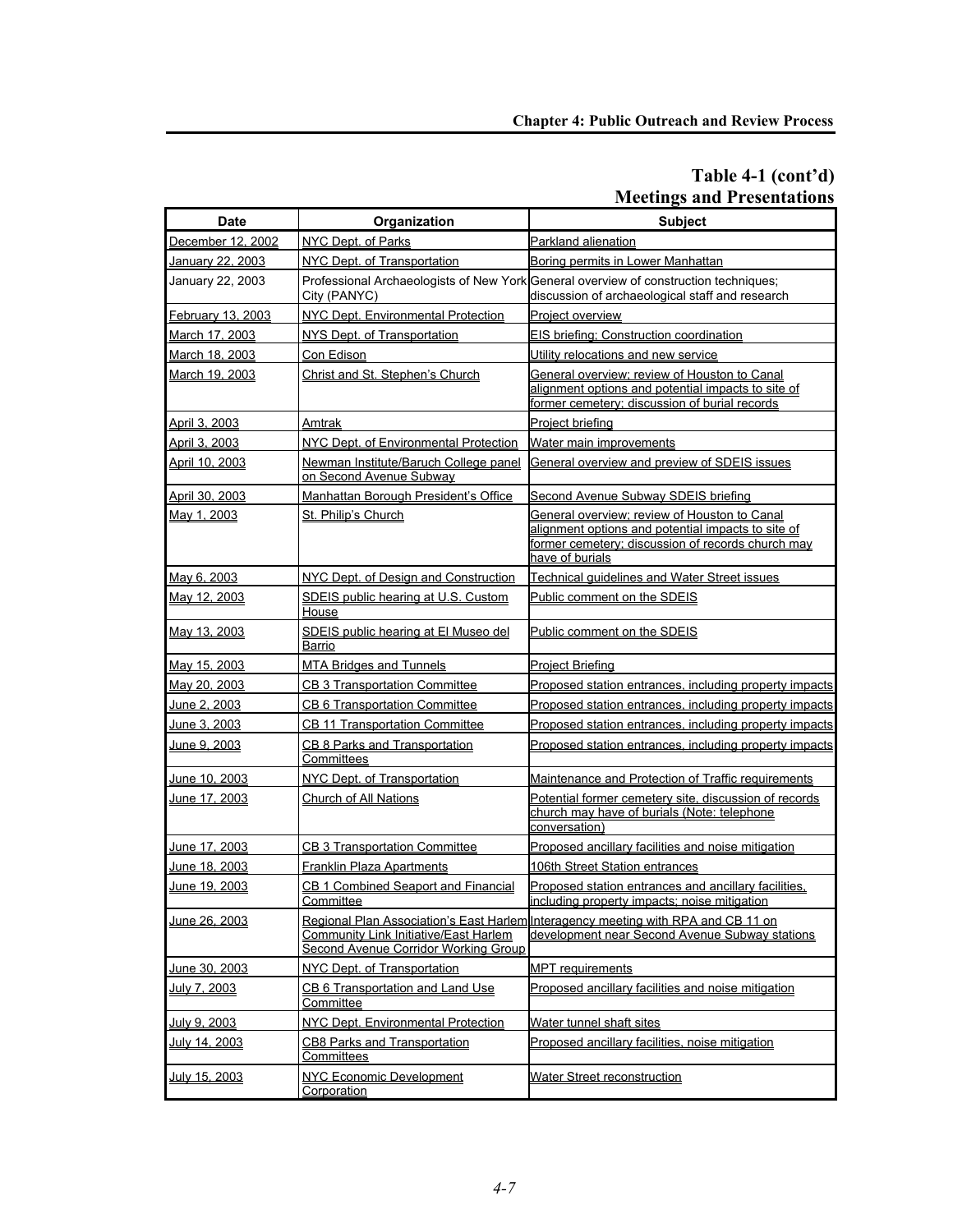## **Table 4-1 (cont'd) Meetings and Presentations**

| <b>Date</b>          | Organization                                                                  | <b>Subject</b>                                                                                                                                                             |
|----------------------|-------------------------------------------------------------------------------|----------------------------------------------------------------------------------------------------------------------------------------------------------------------------|
| December 12, 2002    | NYC Dept. of Parks                                                            | Parkland alienation                                                                                                                                                        |
| January 22, 2003     | NYC Dept. of Transportation                                                   | Boring permits in Lower Manhattan                                                                                                                                          |
| January 22, 2003     | City (PANYC)                                                                  | Professional Archaeologists of New York General overview of construction techniques;<br>discussion of archaeological staff and research                                    |
| February 13, 2003    | NYC Dept. Environmental Protection                                            | <b>Project overview</b>                                                                                                                                                    |
| March 17, 2003       | NYS Dept. of Transportation                                                   | EIS briefing; Construction coordination                                                                                                                                    |
| March 18, 2003       | Con Edison                                                                    | Utility relocations and new service                                                                                                                                        |
| March 19, 2003       | Christ and St. Stephen's Church                                               | General overview; review of Houston to Canal<br>alignment options and potential impacts to site of<br>former cemetery; discussion of burial records                        |
| April 3, 2003        | Amtrak                                                                        | Proiect briefing                                                                                                                                                           |
| April 3, 2003        | NYC Dept. of Environmental Protection                                         | Water main improvements                                                                                                                                                    |
| April 10, 2003       | Newman Institute/Baruch College panel<br>on Second Avenue Subway              | General overview and preview of SDEIS issues                                                                                                                               |
| April 30, 2003       | Manhattan Borough President's Office                                          | Second Avenue Subway SDEIS briefing                                                                                                                                        |
| May 1, 2003          | St. Philip's Church                                                           | General overview: review of Houston to Canal<br>alignment options and potential impacts to site of<br>former cemetery; discussion of records church may<br>have of burials |
| May 6, 2003          | NYC Dept. of Design and Construction                                          | Technical guidelines and Water Street issues                                                                                                                               |
| May 12, 2003         | SDEIS public hearing at U.S. Custom<br>House                                  | Public comment on the SDEIS                                                                                                                                                |
| May 13, 2003         | SDEIS public hearing at El Museo del<br>Barrio                                | Public comment on the SDEIS                                                                                                                                                |
| May 15, 2003         | <b>MTA Bridges and Tunnels</b>                                                | <b>Project Briefing</b>                                                                                                                                                    |
| May 20, 2003         | <b>CB 3 Transportation Committee</b>                                          | Proposed station entrances, including property impacts                                                                                                                     |
| June 2, 2003         | <b>CB 6 Transportation Committee</b>                                          | Proposed station entrances, including property impacts                                                                                                                     |
| <u>June 3, 2003</u>  | <b>CB 11 Transportation Committee</b>                                         | Proposed station entrances, including property impacts                                                                                                                     |
| June 9, 2003         | CB 8 Parks and Transportation<br>Committees                                   | Proposed station entrances, including property impacts                                                                                                                     |
| June 10, 2003        | NYC Dept. of Transportation                                                   | Maintenance and Protection of Traffic requirements                                                                                                                         |
| June 17, 2003        | Church of All Nations                                                         | Potential former cemetery site, discussion of records<br>church may have of burials (Note: telephone<br>conversation)                                                      |
| June 17, 2003        | <b>CB 3 Transportation Committee</b>                                          | Proposed ancillary facilities and noise mitigation                                                                                                                         |
| June 18, 2003        | <b>Franklin Plaza Apartments</b>                                              | 106th Street Station entrances                                                                                                                                             |
| June 19, 2003        | CB 1 Combined Seaport and Financial<br>Committee                              | Proposed station entrances and ancillary facilities,<br>lincluding property impacts: noise mitigation.                                                                     |
| June 26, 2003        | Community Link Initiative/East Harlem<br>Second Avenue Corridor Working Group | Regional Plan Association's East Harlem Interagency meeting with RPA and CB 11 on<br>development near Second Avenue Subway stations                                        |
| June 30, 2003        | NYC Dept. of Transportation                                                   | <b>MPT</b> requirements                                                                                                                                                    |
| <u>July 7, 2003</u>  | CB 6 Transportation and Land Use<br>Committee                                 | Proposed ancillary facilities and noise mitigation                                                                                                                         |
| July 9, 2003         | NYC Dept. Environmental Protection                                            | Water tunnel shaft sites                                                                                                                                                   |
| <u>July 14, 2003</u> | <b>CB8 Parks and Transportation</b><br>Committees                             | Proposed ancillary facilities, noise mitigation                                                                                                                            |
| July 15, 2003        | NYC Economic Development<br>Corporation                                       | <b>Water Street reconstruction</b>                                                                                                                                         |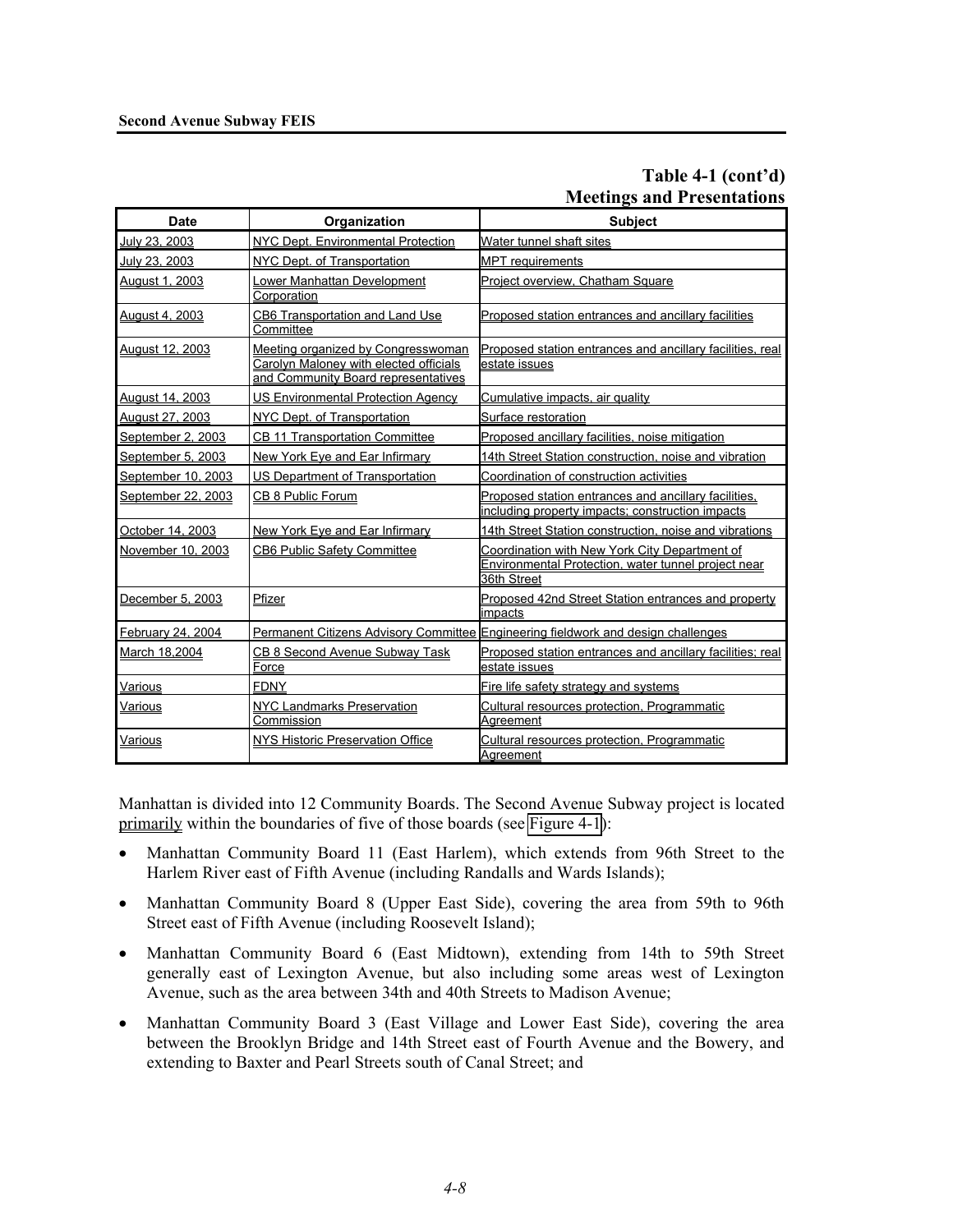## **Table 4-1 (cont'd) Meetings and Presentations**

| <b>Date</b>            | Organization                                                                                                        | <b>Subject</b>                                                                                                      |
|------------------------|---------------------------------------------------------------------------------------------------------------------|---------------------------------------------------------------------------------------------------------------------|
| July 23, 2003          | NYC Dept. Environmental Protection                                                                                  | Water tunnel shaft sites                                                                                            |
| July 23, 2003          | NYC Dept. of Transportation                                                                                         | <b>MPT</b> requirements                                                                                             |
| August 1, 2003         | Lower Manhattan Development<br>Corporation                                                                          | Project overview, Chatham Square                                                                                    |
| August 4, 2003         | CB6 Transportation and Land Use<br>Committee                                                                        | Proposed station entrances and ancillary facilities                                                                 |
| <b>August 12, 2003</b> | Meeting organized by Congresswoman<br>Carolyn Maloney with elected officials<br>and Community Board representatives | Proposed station entrances and ancillary facilities, real<br>estate issues                                          |
| August 14, 2003        | <b>US Environmental Protection Agency</b>                                                                           | Cumulative impacts, air quality                                                                                     |
| <u>August 27, 2003</u> | NYC Dept. of Transportation                                                                                         | Surface restoration                                                                                                 |
| September 2, 2003      | <b>CB 11 Transportation Committee</b>                                                                               | Proposed ancillary facilities, noise mitigation                                                                     |
| September 5, 2003      | New York Eye and Ear Infirmary                                                                                      | 14th Street Station construction, noise and vibration                                                               |
| September 10, 2003     | <b>US Department of Transportation</b>                                                                              | Coordination of construction activities                                                                             |
| September 22, 2003     | CB 8 Public Forum                                                                                                   | Proposed station entrances and ancillary facilities,<br>including property impacts; construction impacts            |
| October 14, 2003       | New York Eve and Ear Infirmary                                                                                      | 14th Street Station construction, noise and vibrations                                                              |
| November 10, 2003      | <b>CB6 Public Safety Committee</b>                                                                                  | Coordination with New York City Department of<br>Environmental Protection, water tunnel project near<br>36th Street |
| December 5, 2003       | Pfizer                                                                                                              | Proposed 42nd Street Station entrances and property<br>impacts                                                      |
| February 24, 2004      |                                                                                                                     | Permanent Citizens Advisory Committee Engineering fieldwork and design challenges                                   |
| March 18,2004          | <b>CB 8 Second Avenue Subway Task</b><br>Force                                                                      | Proposed station entrances and ancillary facilities; real<br>estate issues                                          |
| Various                | <b>FDNY</b>                                                                                                         | Fire life safety strategy and systems                                                                               |
| <u>Various</u>         | <b>NYC Landmarks Preservation</b><br>Commission                                                                     | Cultural resources protection, Programmatic<br>Agreement                                                            |
| <u>Various</u>         | NYS Historic Preservation Office                                                                                    | Cultural resources protection, Programmatic<br>Aareement                                                            |

Manhattan is divided into 12 Community Boards. The Second Avenue Subway project is located primarily within the boundaries of five of those boards (see Figure 4-1):

- Manhattan Community Board 11 (East Harlem), which extends from 96th Street to the Harlem River east of Fifth Avenue (including Randalls and Wards Islands);
- Manhattan Community Board 8 (Upper East Side), covering the area from 59th to 96th Street east of Fifth Avenue (including Roosevelt Island);
- Manhattan Community Board 6 (East Midtown), extending from 14th to 59th Street generally east of Lexington Avenue, but also including some areas west of Lexington Avenue, such as the area between 34th and 40th Streets to Madison Avenue;
- Manhattan Community Board 3 (East Village and Lower East Side), covering the area between the Brooklyn Bridge and 14th Street east of Fourth Avenue and the Bowery, and extending to Baxter and Pearl Streets south of Canal Street; and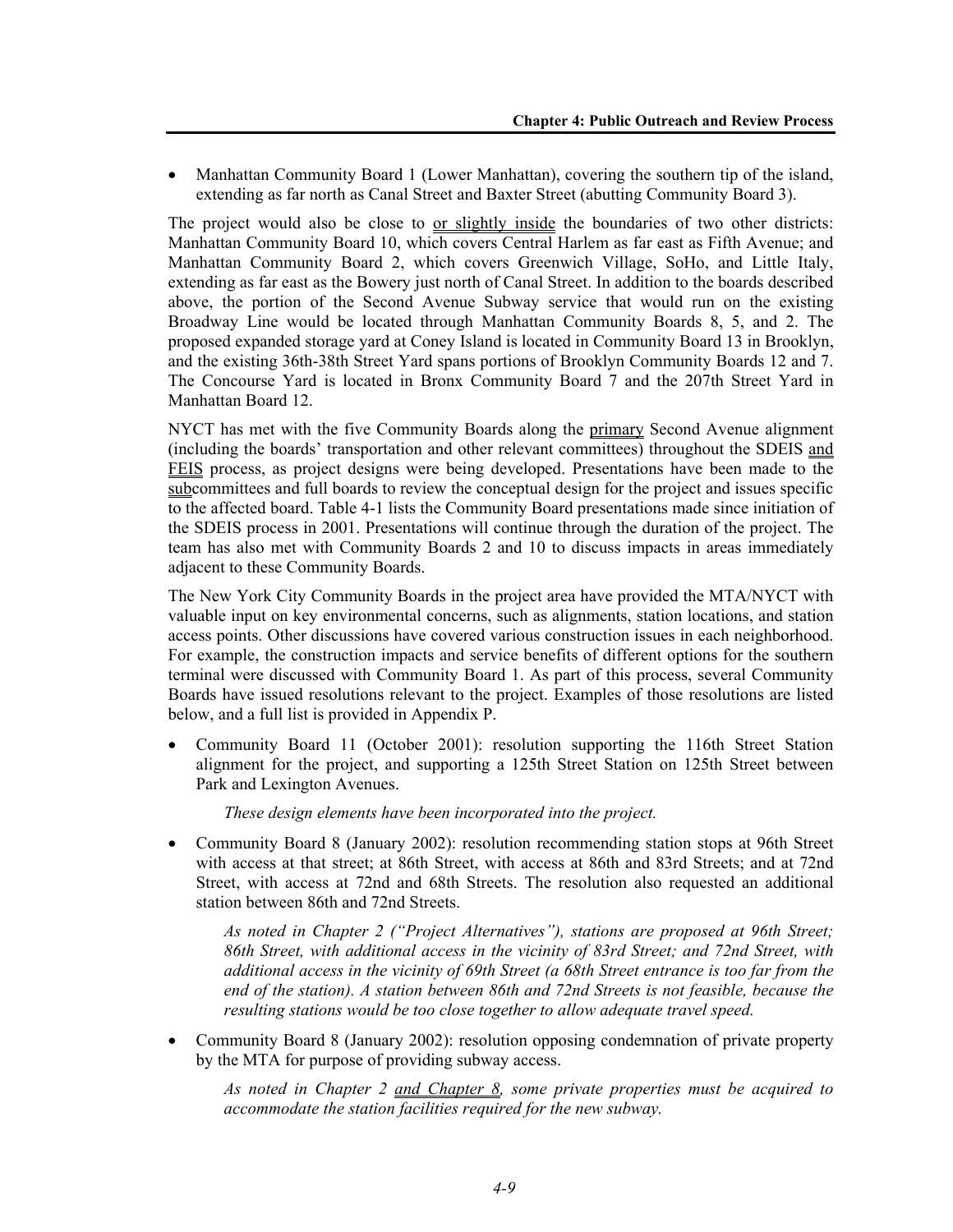• Manhattan Community Board 1 (Lower Manhattan), covering the southern tip of the island, extending as far north as Canal Street and Baxter Street (abutting Community Board 3).

The project would also be close to or slightly inside the boundaries of two other districts: Manhattan Community Board 10, which covers Central Harlem as far east as Fifth Avenue; and Manhattan Community Board 2, which covers Greenwich Village, SoHo, and Little Italy, extending as far east as the Bowery just north of Canal Street. In addition to the boards described above, the portion of the Second Avenue Subway service that would run on the existing Broadway Line would be located through Manhattan Community Boards 8, 5, and 2. The proposed expanded storage yard at Coney Island is located in Community Board 13 in Brooklyn, and the existing 36th-38th Street Yard spans portions of Brooklyn Community Boards 12 and 7. The Concourse Yard is located in Bronx Community Board 7 and the 207th Street Yard in Manhattan Board 12.

NYCT has met with the five Community Boards along the primary Second Avenue alignment (including the boards' transportation and other relevant committees) throughout the SDEIS and FEIS process, as project designs were being developed. Presentations have been made to the subcommittees and full boards to review the conceptual design for the project and issues specific to the affected board. Table 4-1 lists the Community Board presentations made since initiation of the SDEIS process in 2001. Presentations will continue through the duration of the project. The team has also met with Community Boards 2 and 10 to discuss impacts in areas immediately adjacent to these Community Boards.

The New York City Community Boards in the project area have provided the MTA/NYCT with valuable input on key environmental concerns, such as alignments, station locations, and station access points. Other discussions have covered various construction issues in each neighborhood. For example, the construction impacts and service benefits of different options for the southern terminal were discussed with Community Board 1. As part of this process, several Community Boards have issued resolutions relevant to the project. Examples of those resolutions are listed below, and a full list is provided in Appendix P.

• Community Board 11 (October 2001): resolution supporting the 116th Street Station alignment for the project, and supporting a 125th Street Station on 125th Street between Park and Lexington Avenues.

 *These design elements have been incorporated into the project.* 

• Community Board 8 (January 2002): resolution recommending station stops at 96th Street with access at that street; at 86th Street, with access at 86th and 83rd Streets; and at 72nd Street, with access at 72nd and 68th Streets. The resolution also requested an additional station between 86th and 72nd Streets.

 *As noted in Chapter 2 ("Project Alternatives"), stations are proposed at 96th Street; 86th Street, with additional access in the vicinity of 83rd Street; and 72nd Street, with additional access in the vicinity of 69th Street (a 68th Street entrance is too far from the end of the station). A station between 86th and 72nd Streets is not feasible, because the resulting stations would be too close together to allow adequate travel speed.* 

• Community Board 8 (January 2002): resolution opposing condemnation of private property by the MTA for purpose of providing subway access.

 *As noted in Chapter 2 and Chapter 8, some private properties must be acquired to accommodate the station facilities required for the new subway.*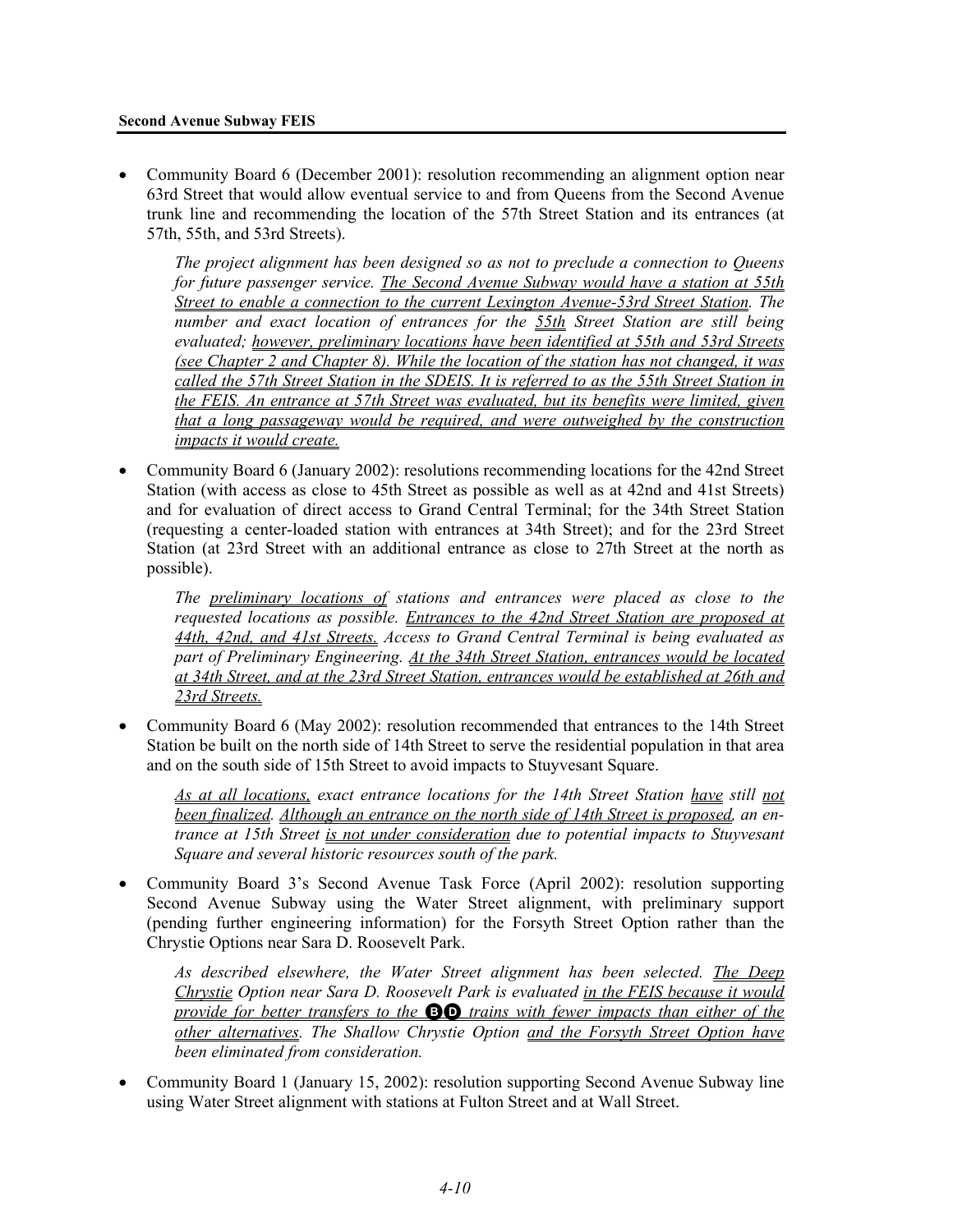#### **Second Avenue Subway FEIS**

• Community Board 6 (December 2001): resolution recommending an alignment option near 63rd Street that would allow eventual service to and from Queens from the Second Avenue trunk line and recommending the location of the 57th Street Station and its entrances (at 57th, 55th, and 53rd Streets).

 *The project alignment has been designed so as not to preclude a connection to Queens for future passenger service. The Second Avenue Subway would have a station at 55th Street to enable a connection to the current Lexington Avenue-53rd Street Station. The number and exact location of entrances for the 55th Street Station are still being evaluated; however, preliminary locations have been identified at 55th and 53rd Streets (see Chapter 2 and Chapter 8). While the location of the station has not changed, it was called the 57th Street Station in the SDEIS. It is referred to as the 55th Street Station in the FEIS. An entrance at 57th Street was evaluated, but its benefits were limited, given that a long passageway would be required, and were outweighed by the construction impacts it would create.*

• Community Board 6 (January 2002): resolutions recommending locations for the 42nd Street Station (with access as close to 45th Street as possible as well as at 42nd and 41st Streets) and for evaluation of direct access to Grand Central Terminal; for the 34th Street Station (requesting a center-loaded station with entrances at 34th Street); and for the 23rd Street Station (at 23rd Street with an additional entrance as close to 27th Street at the north as possible).

 *The preliminary locations of stations and entrances were placed as close to the requested locations as possible. Entrances to the 42nd Street Station are proposed at 44th, 42nd, and 41st Streets. Access to Grand Central Terminal is being evaluated as part of Preliminary Engineering. At the 34th Street Station, entrances would be located at 34th Street, and at the 23rd Street Station, entrances would be established at 26th and 23rd Streets.*

• Community Board 6 (May 2002): resolution recommended that entrances to the 14th Street Station be built on the north side of 14th Street to serve the residential population in that area and on the south side of 15th Street to avoid impacts to Stuyvesant Square.

*As at all locations, exact entrance locations for the 14th Street Station have still not been finalized. Although an entrance on the north side of 14th Street is proposed, an entrance at 15th Street is not under consideration due to potential impacts to Stuyvesant Square and several historic resources south of the park.* 

• Community Board 3's Second Avenue Task Force (April 2002): resolution supporting Second Avenue Subway using the Water Street alignment, with preliminary support (pending further engineering information) for the Forsyth Street Option rather than the Chrystie Options near Sara D. Roosevelt Park.

*As described elsewhere, the Water Street alignment has been selected. The Deep Chrystie Option near Sara D. Roosevelt Park is evaluated in the FEIS because it would provide for better transfers to the* BD *trains with fewer impacts than either of the other alternatives. The Shallow Chrystie Option and the Forsyth Street Option have been eliminated from consideration.* 

• Community Board 1 (January 15, 2002): resolution supporting Second Avenue Subway line using Water Street alignment with stations at Fulton Street and at Wall Street.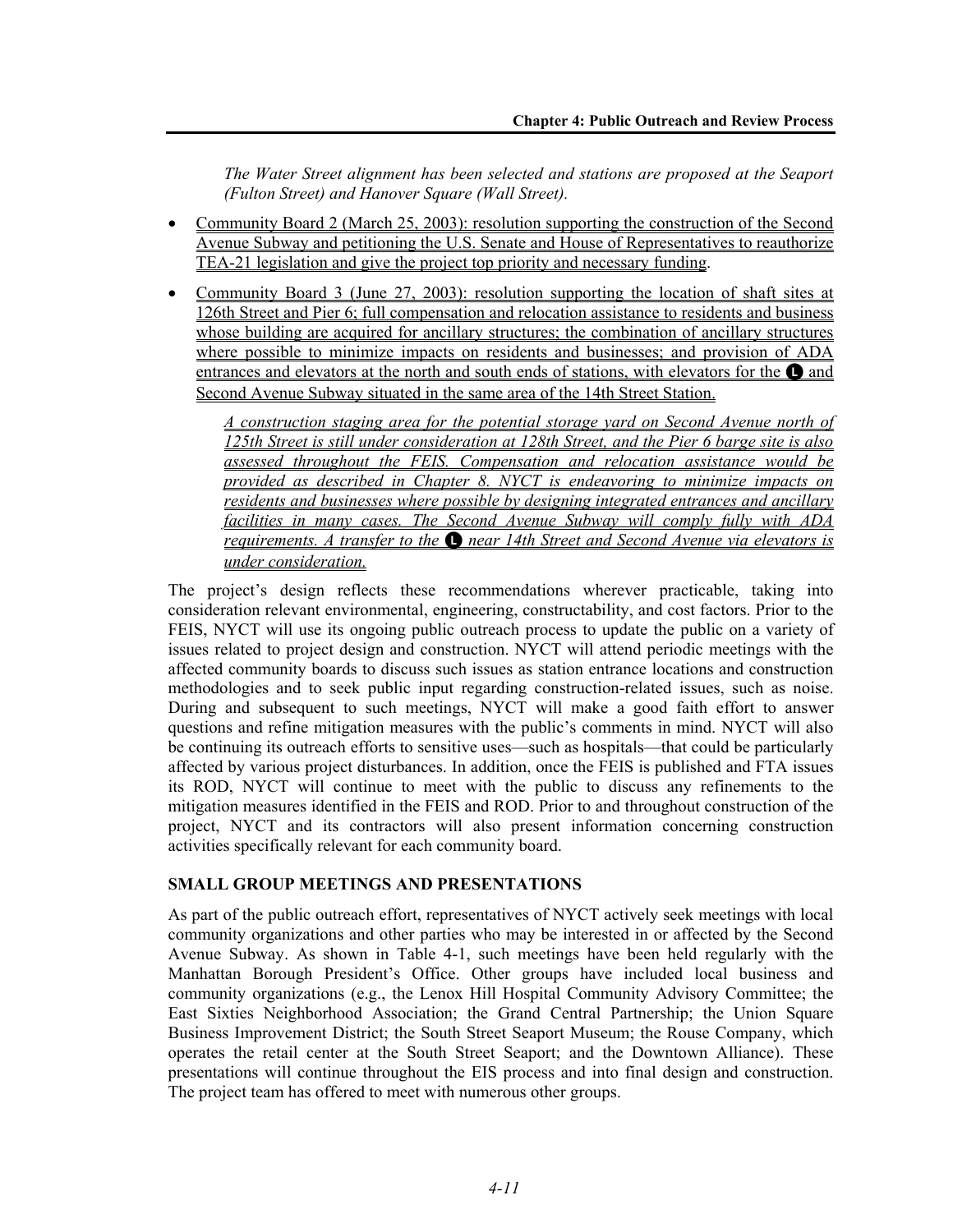*The Water Street alignment has been selected and stations are proposed at the Seaport (Fulton Street) and Hanover Square (Wall Street).* 

- Community Board 2 (March 25, 2003): resolution supporting the construction of the Second Avenue Subway and petitioning the U.S. Senate and House of Representatives to reauthorize TEA-21 legislation and give the project top priority and necessary funding.
- Community Board 3 (June 27, 2003): resolution supporting the location of shaft sites at 126th Street and Pier 6; full compensation and relocation assistance to residents and business whose building are acquired for ancillary structures; the combination of ancillary structures where possible to minimize impacts on residents and businesses; and provision of ADA entrances and elevators at the north and south ends of stations, with elevators for the  $\bullet$  and Second Avenue Subway situated in the same area of the 14th Street Station.

*A construction staging area for the potential storage yard on Second Avenue north of 125th Street is still under consideration at 128th Street, and the Pier 6 barge site is also assessed throughout the FEIS. Compensation and relocation assistance would be provided as described in Chapter 8. NYCT is endeavoring to minimize impacts on residents and businesses where possible by designing integrated entrances and ancillary facilities in many cases. The Second Avenue Subway will comply fully with ADA requirements. A transfer to the* **Q** near 14th Street and Second Avenue via elevators is *under consideration.*

The project's design reflects these recommendations wherever practicable, taking into consideration relevant environmental, engineering, constructability, and cost factors. Prior to the FEIS, NYCT will use its ongoing public outreach process to update the public on a variety of issues related to project design and construction. NYCT will attend periodic meetings with the affected community boards to discuss such issues as station entrance locations and construction methodologies and to seek public input regarding construction-related issues, such as noise. During and subsequent to such meetings, NYCT will make a good faith effort to answer questions and refine mitigation measures with the public's comments in mind. NYCT will also be continuing its outreach efforts to sensitive uses—such as hospitals—that could be particularly affected by various project disturbances. In addition, once the FEIS is published and FTA issues its ROD, NYCT will continue to meet with the public to discuss any refinements to the mitigation measures identified in the FEIS and ROD. Prior to and throughout construction of the project, NYCT and its contractors will also present information concerning construction activities specifically relevant for each community board.

#### **SMALL GROUP MEETINGS AND PRESENTATIONS**

As part of the public outreach effort, representatives of NYCT actively seek meetings with local community organizations and other parties who may be interested in or affected by the Second Avenue Subway. As shown in Table 4-1, such meetings have been held regularly with the Manhattan Borough President's Office. Other groups have included local business and community organizations (e.g., the Lenox Hill Hospital Community Advisory Committee; the East Sixties Neighborhood Association; the Grand Central Partnership; the Union Square Business Improvement District; the South Street Seaport Museum; the Rouse Company, which operates the retail center at the South Street Seaport; and the Downtown Alliance). These presentations will continue throughout the EIS process and into final design and construction. The project team has offered to meet with numerous other groups.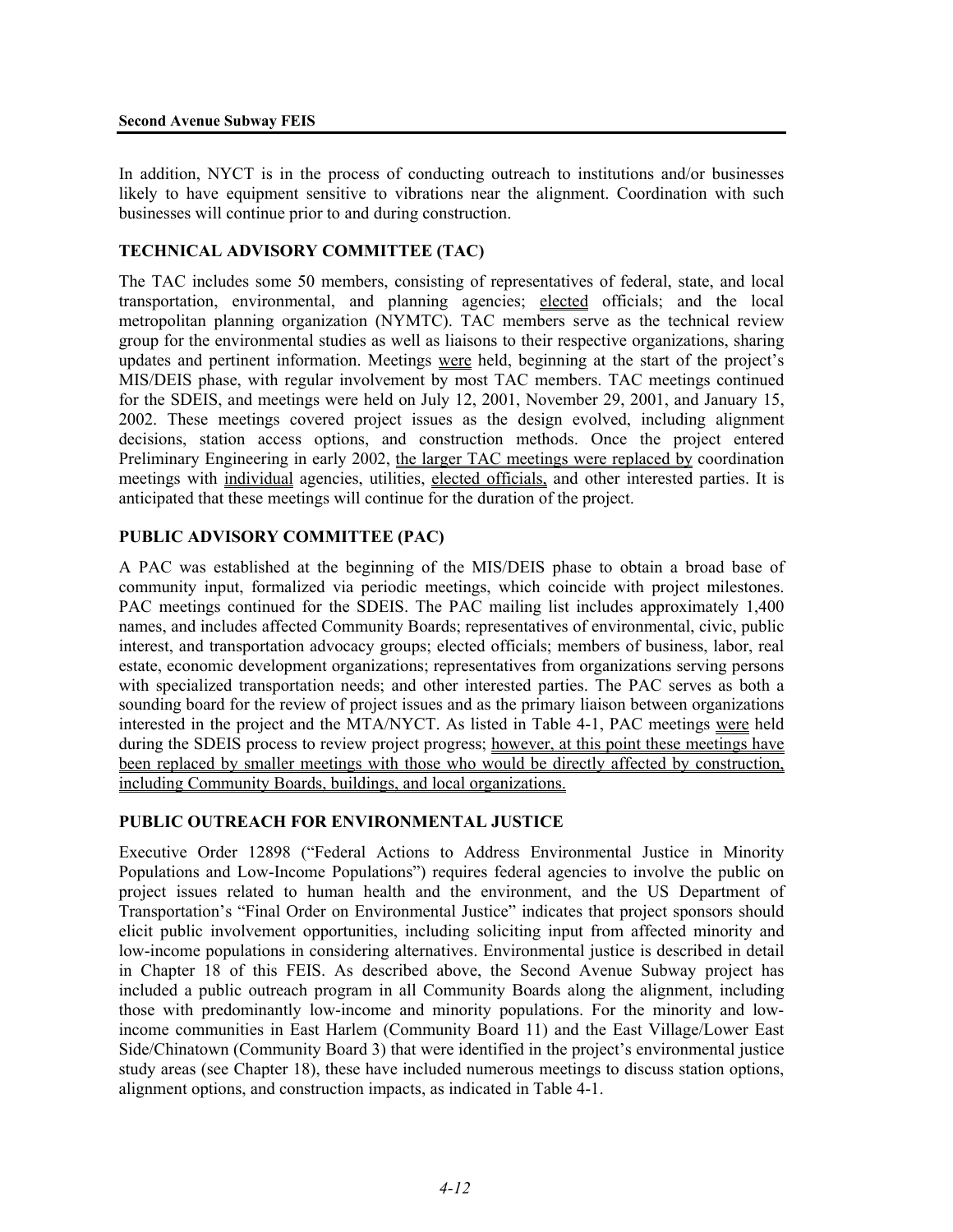In addition, NYCT is in the process of conducting outreach to institutions and/or businesses likely to have equipment sensitive to vibrations near the alignment. Coordination with such businesses will continue prior to and during construction.

#### **TECHNICAL ADVISORY COMMITTEE (TAC)**

The TAC includes some 50 members, consisting of representatives of federal, state, and local transportation, environmental, and planning agencies; elected officials; and the local metropolitan planning organization (NYMTC). TAC members serve as the technical review group for the environmental studies as well as liaisons to their respective organizations, sharing updates and pertinent information. Meetings were held, beginning at the start of the project's MIS/DEIS phase, with regular involvement by most TAC members. TAC meetings continued for the SDEIS, and meetings were held on July 12, 2001, November 29, 2001, and January 15, 2002. These meetings covered project issues as the design evolved, including alignment decisions, station access options, and construction methods. Once the project entered Preliminary Engineering in early 2002, the larger TAC meetings were replaced by coordination meetings with individual agencies, utilities, elected officials, and other interested parties. It is anticipated that these meetings will continue for the duration of the project.

#### **PUBLIC ADVISORY COMMITTEE (PAC)**

A PAC was established at the beginning of the MIS/DEIS phase to obtain a broad base of community input, formalized via periodic meetings, which coincide with project milestones. PAC meetings continued for the SDEIS. The PAC mailing list includes approximately 1,400 names, and includes affected Community Boards; representatives of environmental, civic, public interest, and transportation advocacy groups; elected officials; members of business, labor, real estate, economic development organizations; representatives from organizations serving persons with specialized transportation needs; and other interested parties. The PAC serves as both a sounding board for the review of project issues and as the primary liaison between organizations interested in the project and the MTA/NYCT. As listed in Table 4-1, PAC meetings were held during the SDEIS process to review project progress; however, at this point these meetings have been replaced by smaller meetings with those who would be directly affected by construction, including Community Boards, buildings, and local organizations.

## **PUBLIC OUTREACH FOR ENVIRONMENTAL JUSTICE**

Executive Order 12898 ("Federal Actions to Address Environmental Justice in Minority Populations and Low-Income Populations") requires federal agencies to involve the public on project issues related to human health and the environment, and the US Department of Transportation's "Final Order on Environmental Justice" indicates that project sponsors should elicit public involvement opportunities, including soliciting input from affected minority and low-income populations in considering alternatives. Environmental justice is described in detail in Chapter 18 of this FEIS. As described above, the Second Avenue Subway project has included a public outreach program in all Community Boards along the alignment, including those with predominantly low-income and minority populations. For the minority and lowincome communities in East Harlem (Community Board 11) and the East Village/Lower East Side/Chinatown (Community Board 3) that were identified in the project's environmental justice study areas (see Chapter 18), these have included numerous meetings to discuss station options, alignment options, and construction impacts, as indicated in Table 4-1.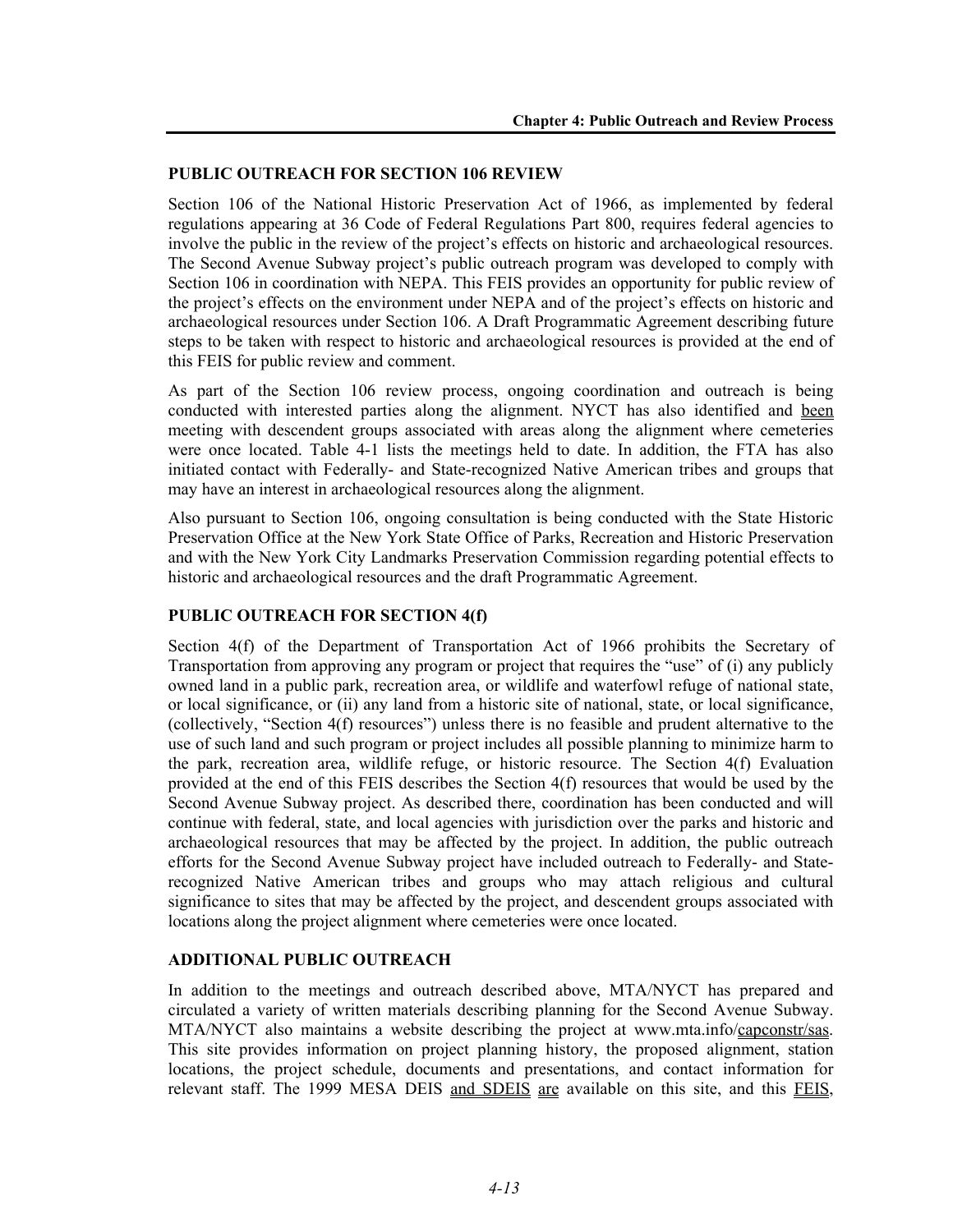#### **PUBLIC OUTREACH FOR SECTION 106 REVIEW**

Section 106 of the National Historic Preservation Act of 1966, as implemented by federal regulations appearing at 36 Code of Federal Regulations Part 800, requires federal agencies to involve the public in the review of the project's effects on historic and archaeological resources. The Second Avenue Subway project's public outreach program was developed to comply with Section 106 in coordination with NEPA. This FEIS provides an opportunity for public review of the project's effects on the environment under NEPA and of the project's effects on historic and archaeological resources under Section 106. A Draft Programmatic Agreement describing future steps to be taken with respect to historic and archaeological resources is provided at the end of this FEIS for public review and comment.

As part of the Section 106 review process, ongoing coordination and outreach is being conducted with interested parties along the alignment. NYCT has also identified and been meeting with descendent groups associated with areas along the alignment where cemeteries were once located. Table 4-1 lists the meetings held to date. In addition, the FTA has also initiated contact with Federally- and State-recognized Native American tribes and groups that may have an interest in archaeological resources along the alignment.

Also pursuant to Section 106, ongoing consultation is being conducted with the State Historic Preservation Office at the New York State Office of Parks, Recreation and Historic Preservation and with the New York City Landmarks Preservation Commission regarding potential effects to historic and archaeological resources and the draft Programmatic Agreement.

### **PUBLIC OUTREACH FOR SECTION 4(f)**

Section 4(f) of the Department of Transportation Act of 1966 prohibits the Secretary of Transportation from approving any program or project that requires the "use" of (i) any publicly owned land in a public park, recreation area, or wildlife and waterfowl refuge of national state, or local significance, or (ii) any land from a historic site of national, state, or local significance, (collectively, "Section 4(f) resources") unless there is no feasible and prudent alternative to the use of such land and such program or project includes all possible planning to minimize harm to the park, recreation area, wildlife refuge, or historic resource. The Section 4(f) Evaluation provided at the end of this FEIS describes the Section 4(f) resources that would be used by the Second Avenue Subway project. As described there, coordination has been conducted and will continue with federal, state, and local agencies with jurisdiction over the parks and historic and archaeological resources that may be affected by the project. In addition, the public outreach efforts for the Second Avenue Subway project have included outreach to Federally- and Staterecognized Native American tribes and groups who may attach religious and cultural significance to sites that may be affected by the project, and descendent groups associated with locations along the project alignment where cemeteries were once located.

#### **ADDITIONAL PUBLIC OUTREACH**

In addition to the meetings and outreach described above, MTA/NYCT has prepared and circulated a variety of written materials describing planning for the Second Avenue Subway. MTA/NYCT also maintains a website describing the project at www.mta.info/capconstr/sas. This site provides information on project planning history, the proposed alignment, station locations, the project schedule, documents and presentations, and contact information for relevant staff. The 1999 MESA DEIS and SDEIS are available on this site, and this FEIS,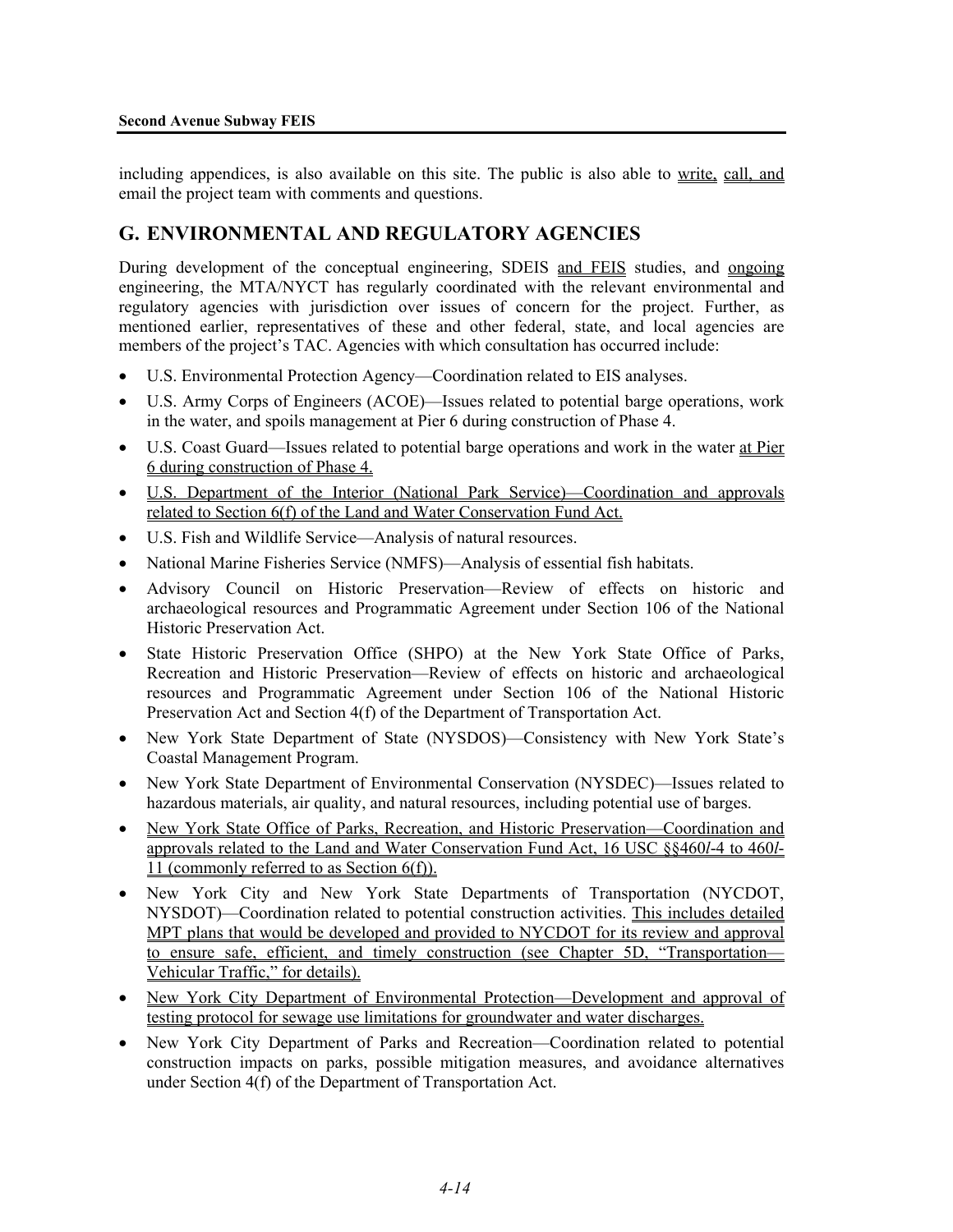including appendices, is also available on this site. The public is also able to write, call, and email the project team with comments and questions.

# **G. ENVIRONMENTAL AND REGULATORY AGENCIES**

During development of the conceptual engineering, SDEIS and FEIS studies, and ongoing engineering, the MTA/NYCT has regularly coordinated with the relevant environmental and regulatory agencies with jurisdiction over issues of concern for the project. Further, as mentioned earlier, representatives of these and other federal, state, and local agencies are members of the project's TAC. Agencies with which consultation has occurred include:

- U.S. Environmental Protection Agency—Coordination related to EIS analyses.
- U.S. Army Corps of Engineers (ACOE)—Issues related to potential barge operations, work in the water, and spoils management at Pier 6 during construction of Phase 4.
- U.S. Coast Guard—Issues related to potential barge operations and work in the water at Pier 6 during construction of Phase 4.
- U.S. Department of the Interior (National Park Service)—Coordination and approvals related to Section 6(f) of the Land and Water Conservation Fund Act.
- U.S. Fish and Wildlife Service—Analysis of natural resources.
- National Marine Fisheries Service (NMFS)—Analysis of essential fish habitats.
- Advisory Council on Historic Preservation—Review of effects on historic and archaeological resources and Programmatic Agreement under Section 106 of the National Historic Preservation Act.
- State Historic Preservation Office (SHPO) at the New York State Office of Parks, Recreation and Historic Preservation—Review of effects on historic and archaeological resources and Programmatic Agreement under Section 106 of the National Historic Preservation Act and Section 4(f) of the Department of Transportation Act.
- New York State Department of State (NYSDOS)—Consistency with New York State's Coastal Management Program.
- New York State Department of Environmental Conservation (NYSDEC)—Issues related to hazardous materials, air quality, and natural resources, including potential use of barges.
- New York State Office of Parks, Recreation, and Historic Preservation—Coordination and approvals related to the Land and Water Conservation Fund Act, 16 USC §§460*l*-4 to 460*l*-11 (commonly referred to as Section 6(f)).
- New York City and New York State Departments of Transportation (NYCDOT, NYSDOT)—Coordination related to potential construction activities. This includes detailed MPT plans that would be developed and provided to NYCDOT for its review and approval to ensure safe, efficient, and timely construction (see Chapter 5D, "Transportation— Vehicular Traffic," for details).
- New York City Department of Environmental Protection—Development and approval of testing protocol for sewage use limitations for groundwater and water discharges.
- New York City Department of Parks and Recreation—Coordination related to potential construction impacts on parks, possible mitigation measures, and avoidance alternatives under Section 4(f) of the Department of Transportation Act.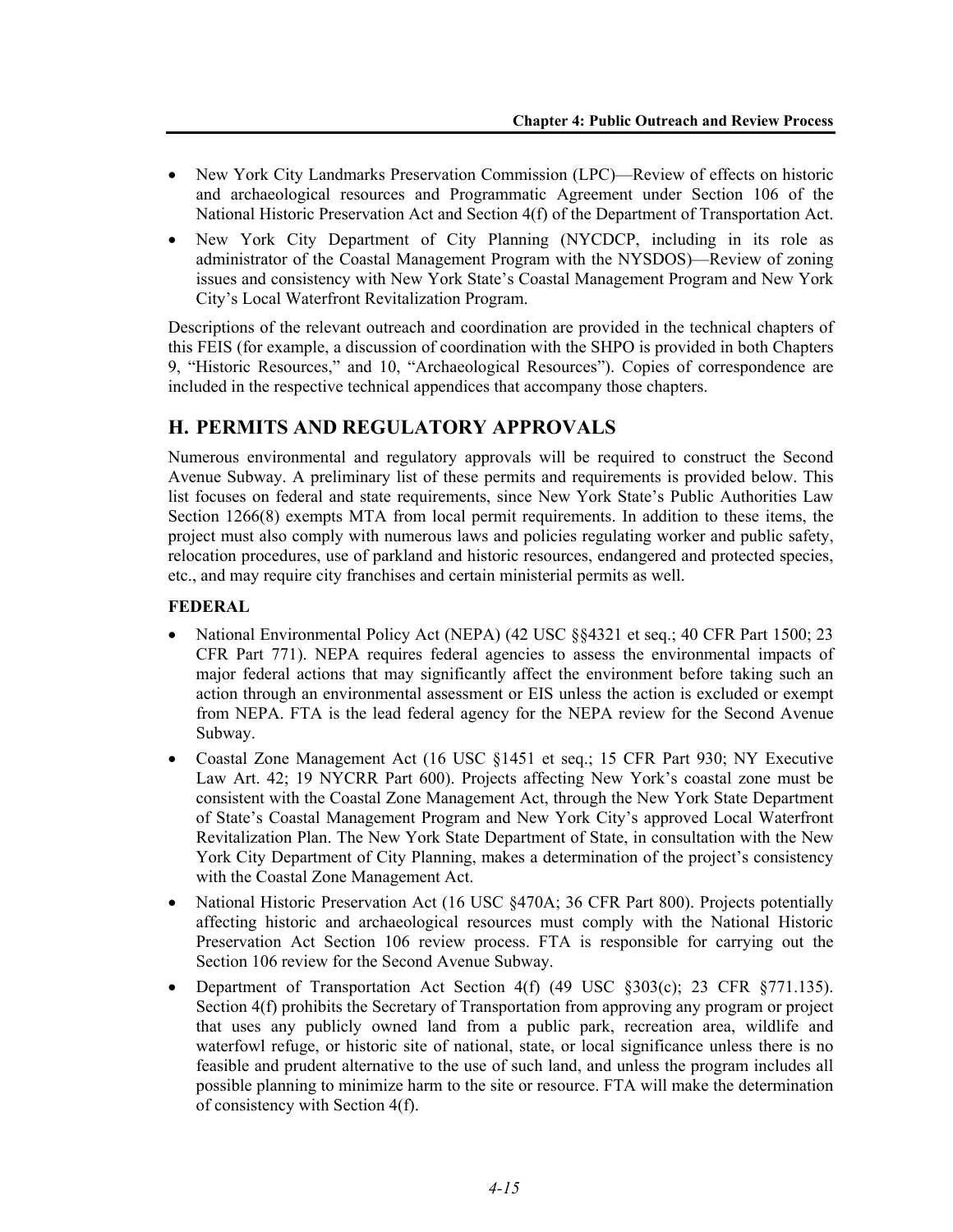- New York City Landmarks Preservation Commission (LPC)—Review of effects on historic and archaeological resources and Programmatic Agreement under Section 106 of the National Historic Preservation Act and Section 4(f) of the Department of Transportation Act.
- New York City Department of City Planning (NYCDCP, including in its role as administrator of the Coastal Management Program with the NYSDOS)—Review of zoning issues and consistency with New York State's Coastal Management Program and New York City's Local Waterfront Revitalization Program.

Descriptions of the relevant outreach and coordination are provided in the technical chapters of this FEIS (for example, a discussion of coordination with the SHPO is provided in both Chapters 9, "Historic Resources," and 10, "Archaeological Resources"). Copies of correspondence are included in the respective technical appendices that accompany those chapters.

# **H. PERMITS AND REGULATORY APPROVALS**

Numerous environmental and regulatory approvals will be required to construct the Second Avenue Subway. A preliminary list of these permits and requirements is provided below. This list focuses on federal and state requirements, since New York State's Public Authorities Law Section 1266(8) exempts MTA from local permit requirements. In addition to these items, the project must also comply with numerous laws and policies regulating worker and public safety, relocation procedures, use of parkland and historic resources, endangered and protected species, etc., and may require city franchises and certain ministerial permits as well.

## **FEDERAL**

- National Environmental Policy Act (NEPA) (42 USC §§4321 et seq.; 40 CFR Part 1500; 23 CFR Part 771). NEPA requires federal agencies to assess the environmental impacts of major federal actions that may significantly affect the environment before taking such an action through an environmental assessment or EIS unless the action is excluded or exempt from NEPA. FTA is the lead federal agency for the NEPA review for the Second Avenue Subway.
- Coastal Zone Management Act (16 USC §1451 et seq.; 15 CFR Part 930; NY Executive Law Art. 42; 19 NYCRR Part 600). Projects affecting New York's coastal zone must be consistent with the Coastal Zone Management Act, through the New York State Department of State's Coastal Management Program and New York City's approved Local Waterfront Revitalization Plan. The New York State Department of State, in consultation with the New York City Department of City Planning, makes a determination of the project's consistency with the Coastal Zone Management Act.
- National Historic Preservation Act (16 USC §470A; 36 CFR Part 800). Projects potentially affecting historic and archaeological resources must comply with the National Historic Preservation Act Section 106 review process. FTA is responsible for carrying out the Section 106 review for the Second Avenue Subway.
- Department of Transportation Act Section 4(f) (49 USC §303(c); 23 CFR §771.135). Section 4(f) prohibits the Secretary of Transportation from approving any program or project that uses any publicly owned land from a public park, recreation area, wildlife and waterfowl refuge, or historic site of national, state, or local significance unless there is no feasible and prudent alternative to the use of such land, and unless the program includes all possible planning to minimize harm to the site or resource. FTA will make the determination of consistency with Section 4(f).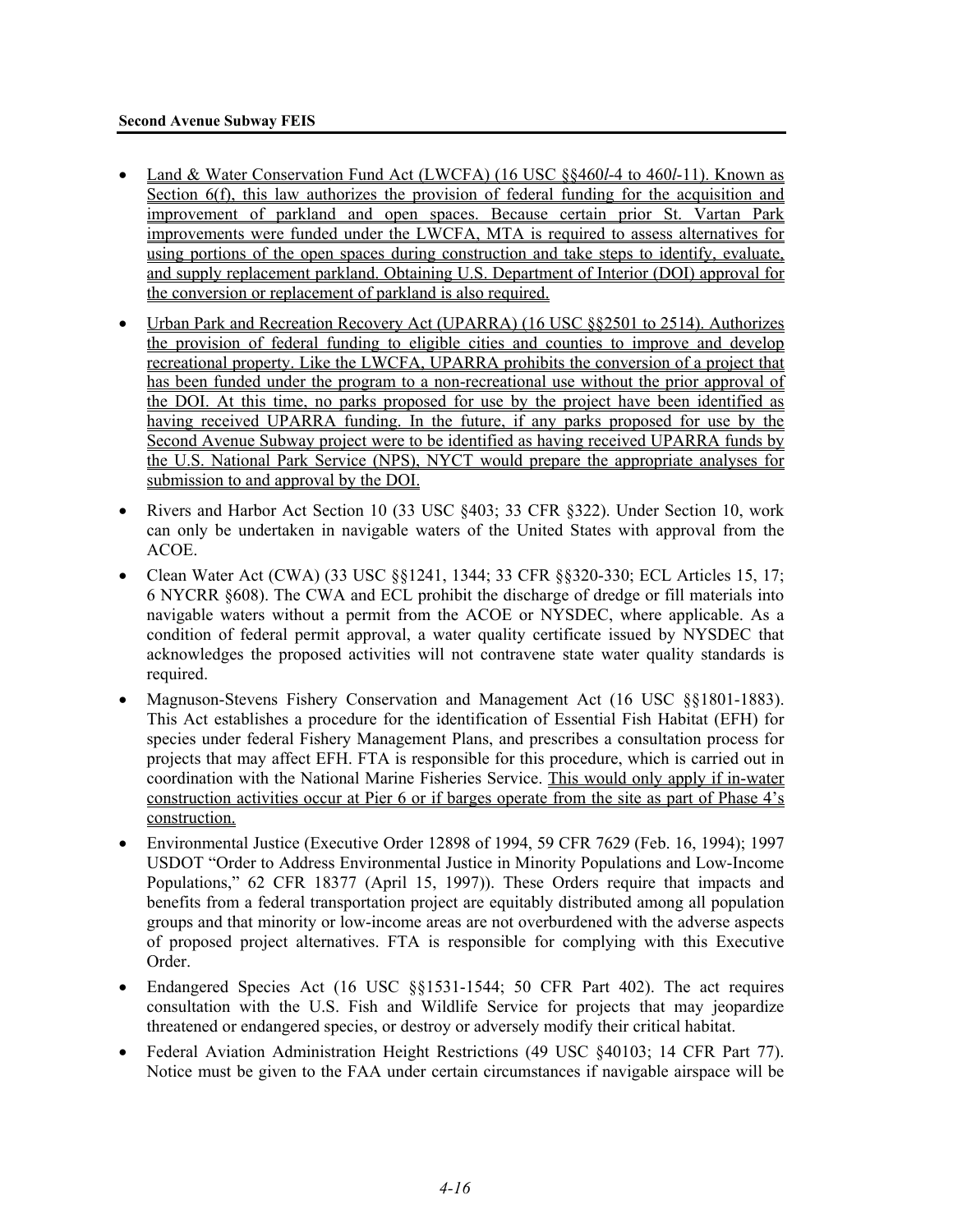- Land & Water Conservation Fund Act (LWCFA) (16 USC §§460*l*-4 to 460*l*-11). Known as Section 6(f), this law authorizes the provision of federal funding for the acquisition and improvement of parkland and open spaces. Because certain prior St. Vartan Park improvements were funded under the LWCFA, MTA is required to assess alternatives for using portions of the open spaces during construction and take steps to identify, evaluate, and supply replacement parkland. Obtaining U.S. Department of Interior (DOI) approval for the conversion or replacement of parkland is also required.
- Urban Park and Recreation Recovery Act (UPARRA) (16 USC §§2501 to 2514). Authorizes the provision of federal funding to eligible cities and counties to improve and develop recreational property. Like the LWCFA, UPARRA prohibits the conversion of a project that has been funded under the program to a non-recreational use without the prior approval of the DOI. At this time, no parks proposed for use by the project have been identified as having received UPARRA funding. In the future, if any parks proposed for use by the Second Avenue Subway project were to be identified as having received UPARRA funds by the U.S. National Park Service (NPS), NYCT would prepare the appropriate analyses for submission to and approval by the DOI.
- Rivers and Harbor Act Section 10 (33 USC §403; 33 CFR §322). Under Section 10, work can only be undertaken in navigable waters of the United States with approval from the ACOE.
- Clean Water Act (CWA) (33 USC §§1241, 1344; 33 CFR §§320-330; ECL Articles 15, 17; 6 NYCRR §608). The CWA and ECL prohibit the discharge of dredge or fill materials into navigable waters without a permit from the ACOE or NYSDEC, where applicable. As a condition of federal permit approval, a water quality certificate issued by NYSDEC that acknowledges the proposed activities will not contravene state water quality standards is required.
- Magnuson-Stevens Fishery Conservation and Management Act (16 USC §§1801-1883). This Act establishes a procedure for the identification of Essential Fish Habitat (EFH) for species under federal Fishery Management Plans, and prescribes a consultation process for projects that may affect EFH. FTA is responsible for this procedure, which is carried out in coordination with the National Marine Fisheries Service. This would only apply if in-water construction activities occur at Pier 6 or if barges operate from the site as part of Phase 4's construction.
- Environmental Justice (Executive Order 12898 of 1994, 59 CFR 7629 (Feb. 16, 1994); 1997 USDOT "Order to Address Environmental Justice in Minority Populations and Low-Income Populations," 62 CFR 18377 (April 15, 1997)). These Orders require that impacts and benefits from a federal transportation project are equitably distributed among all population groups and that minority or low-income areas are not overburdened with the adverse aspects of proposed project alternatives. FTA is responsible for complying with this Executive Order.
- Endangered Species Act (16 USC §§1531-1544; 50 CFR Part 402). The act requires consultation with the U.S. Fish and Wildlife Service for projects that may jeopardize threatened or endangered species, or destroy or adversely modify their critical habitat.
- Federal Aviation Administration Height Restrictions (49 USC §40103; 14 CFR Part 77). Notice must be given to the FAA under certain circumstances if navigable airspace will be